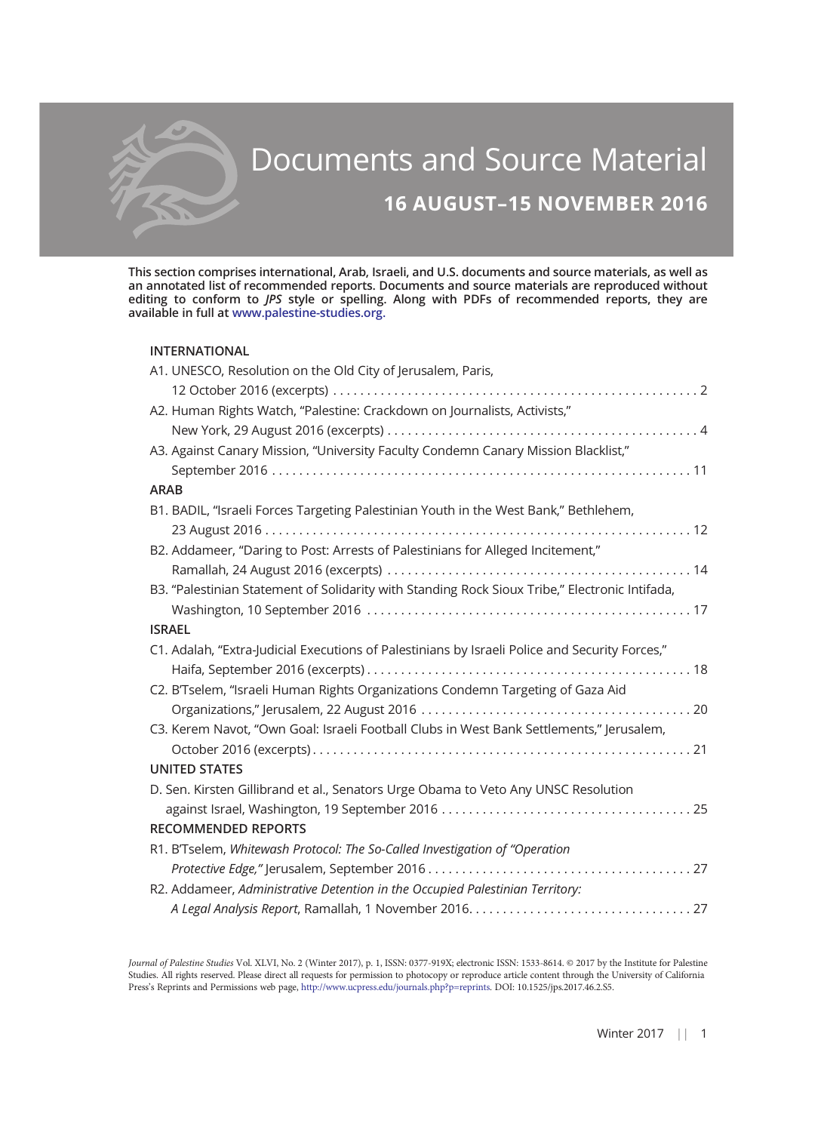

# Documents and Source Material 16 AUGUST–15 NOVEMBER 2016

This section comprises international, Arab, Israeli, and U.S. documents and source materials, as well as an annotated list of recommended reports. Documents and source materials are reproduced without editing to conform to JPS style or spelling. Along with PDFs of recommended reports, they are available in full at [www.palestine-studies.org.](http://www.palestine-studies.org)

#### INTERNATIONAL

| A1. UNESCO, Resolution on the Old City of Jerusalem, Paris,                                    |
|------------------------------------------------------------------------------------------------|
|                                                                                                |
| A2. Human Rights Watch, "Palestine: Crackdown on Journalists, Activists,"                      |
|                                                                                                |
| A3. Against Canary Mission, "University Faculty Condemn Canary Mission Blacklist,"             |
|                                                                                                |
| <b>ARAB</b>                                                                                    |
| B1. BADIL, "Israeli Forces Targeting Palestinian Youth in the West Bank," Bethlehem,           |
|                                                                                                |
| B2. Addameer, "Daring to Post: Arrests of Palestinians for Alleged Incitement,"                |
|                                                                                                |
| B3. "Palestinian Statement of Solidarity with Standing Rock Sioux Tribe," Electronic Intifada, |
|                                                                                                |
| <b>ISRAEL</b>                                                                                  |
| C1. Adalah, "Extra-Judicial Executions of Palestinians by Israeli Police and Security Forces," |
|                                                                                                |
| C2. B'Tselem, "Israeli Human Rights Organizations Condemn Targeting of Gaza Aid                |
|                                                                                                |
| C3. Kerem Navot, "Own Goal: Israeli Football Clubs in West Bank Settlements," Jerusalem,       |
|                                                                                                |
| <b>UNITED STATES</b>                                                                           |
| D. Sen. Kirsten Gillibrand et al., Senators Urge Obama to Veto Any UNSC Resolution             |
|                                                                                                |
| <b>RECOMMENDED REPORTS</b>                                                                     |
| R1. B'Tselem, Whitewash Protocol: The So-Called Investigation of "Operation                    |
|                                                                                                |
| R2. Addameer, Administrative Detention in the Occupied Palestinian Territory:                  |
|                                                                                                |

Journal of Palestine Studies Vol. XLVI, No. 2 (Winter 2017), p. 1, ISSN: 0377-919X; electronic ISSN: 1533-8614. © 2017 by the Institute for Palestine Studies. All rights reserved. Please direct all requests for permission to photocopy or reproduce article content through the University of California Press's Reprints and Permissions web page, [http://www.ucpress.edu/journals.php?p=reprints.](http://www.ucpress.edu/journals.php?p=reprints) DOI: 10.1525/jps.2017.46.2.S5.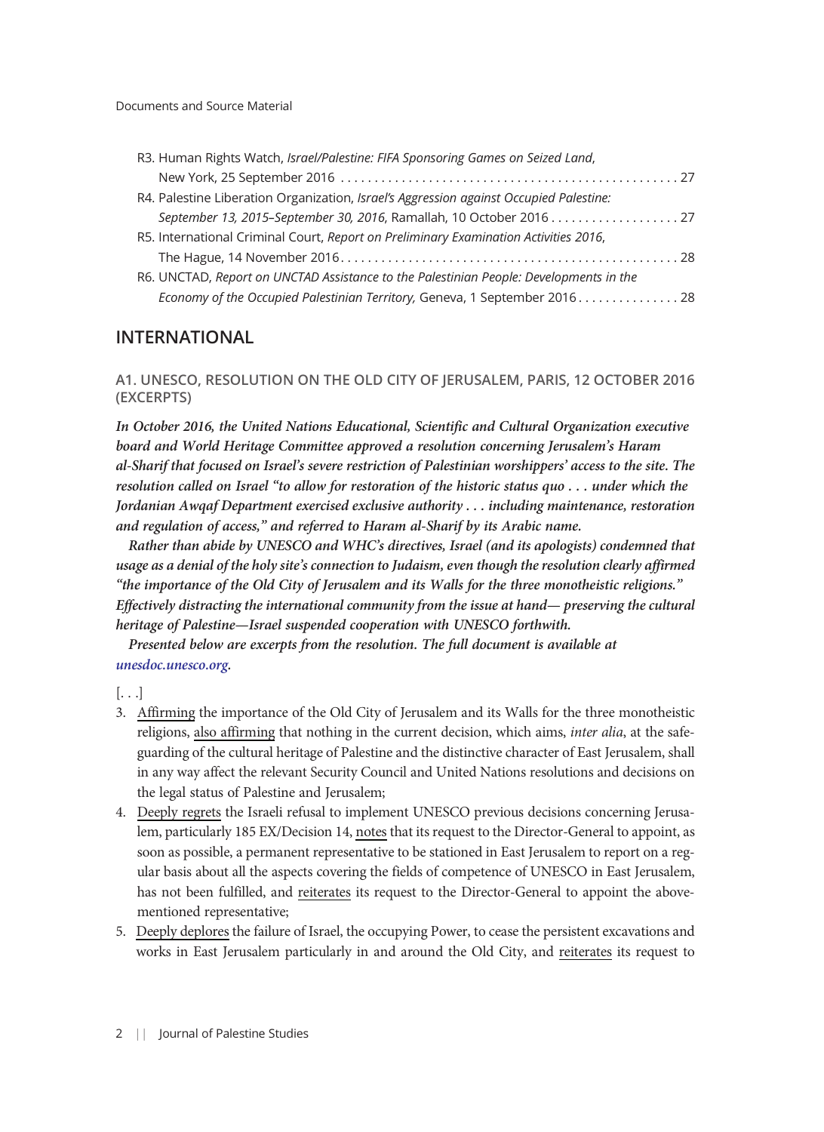| R3. Human Rights Watch, Israel/Palestine: FIFA Sponsoring Games on Seized Land,        |
|----------------------------------------------------------------------------------------|
|                                                                                        |
| R4. Palestine Liberation Organization, Israel's Aggression against Occupied Palestine: |
| September 13, 2015-September 30, 2016, Ramallah, 10 October 2016 27                    |
| R5. International Criminal Court, Report on Preliminary Examination Activities 2016,   |
|                                                                                        |
| R6. UNCTAD, Report on UNCTAD Assistance to the Palestinian People: Developments in the |
| Economy of the Occupied Palestinian Territory, Geneva, 1 September 201628              |
|                                                                                        |

# INTERNATIONAL

A1. UNESCO, RESOLUTION ON THE OLD CITY OF JERUSALEM, PARIS, 12 OCTOBER 2016 (EXCERPTS)

In October 2016, the United Nations Educational, Scientific and Cultural Organization executive board and World Heritage Committee approved a resolution concerning Jerusalem's Haram al-Sharif that focused on Israel's severe restriction of Palestinian worshippers' access to the site. The resolution called on Israel "to allow for restoration of the historic status quo . . . under which the Jordanian Awqaf Department exercised exclusive authority . . . including maintenance, restoration and regulation of access," and referred to Haram al-Sharif by its Arabic name.

Rather than abide by UNESCO and WHC's directives, Israel (and its apologists) condemned that usage as a denial of the holy site's connection to Judaism, even though the resolution clearly affirmed "the importance of the Old City of Jerusalem and its Walls for the three monotheistic religions." Effectively distracting the international community from the issue at hand— preserving the cultural heritage of Palestine—Israel suspended cooperation with UNESCO forthwith.

Presented below are excerpts from the resolution. The full document is available at [unesdoc.unesco.org](http://unesdoc.unesco.org/images/0024/002462/246215e.pdf).

[. . .]

- 3. Affirming the importance of the Old City of Jerusalem and its Walls for the three monotheistic religions, also affirming that nothing in the current decision, which aims, *inter alia*, at the safeguarding of the cultural heritage of Palestine and the distinctive character of East Jerusalem, shall in any way affect the relevant Security Council and United Nations resolutions and decisions on the legal status of Palestine and Jerusalem;
- 4. Deeply regrets the Israeli refusal to implement UNESCO previous decisions concerning Jerusalem, particularly 185 EX/Decision 14, notes that its request to the Director-General to appoint, as soon as possible, a permanent representative to be stationed in East Jerusalem to report on a regular basis about all the aspects covering the fields of competence of UNESCO in East Jerusalem, has not been fulfilled, and reiterates its request to the Director-General to appoint the abovementioned representative;
- 5. Deeply deplores the failure of Israel, the occupying Power, to cease the persistent excavations and works in East Jerusalem particularly in and around the Old City, and reiterates its request to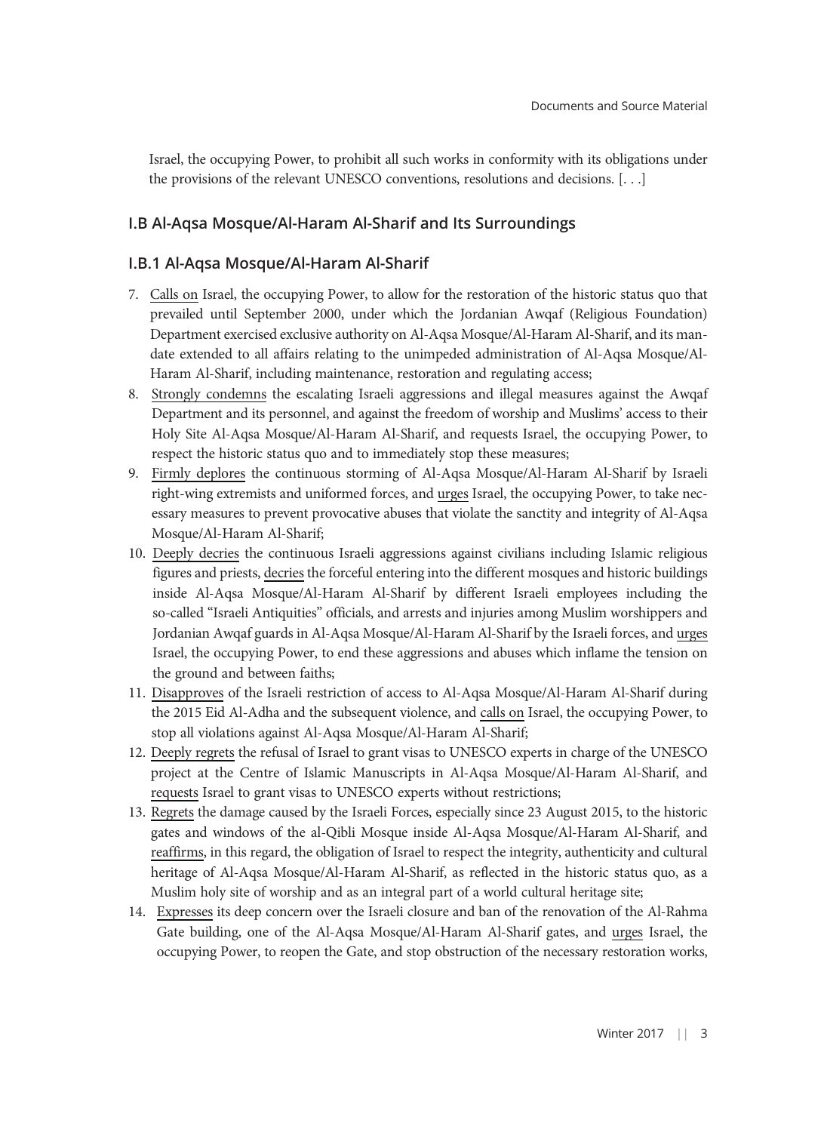Israel, the occupying Power, to prohibit all such works in conformity with its obligations under the provisions of the relevant UNESCO conventions, resolutions and decisions. [. . .]

# I.B Al-Aqsa Mosque/Al-Haram Al-Sharif and Its Surroundings

#### I.B.1 Al-Aqsa Mosque/Al-Haram Al-Sharif

- 7. Calls on Israel, the occupying Power, to allow for the restoration of the historic status quo that prevailed until September 2000, under which the Jordanian Awqaf (Religious Foundation) Department exercised exclusive authority on Al-Aqsa Mosque/Al-Haram Al-Sharif, and its mandate extended to all affairs relating to the unimpeded administration of Al-Aqsa Mosque/Al-Haram Al-Sharif, including maintenance, restoration and regulating access;
- 8. Strongly condemns the escalating Israeli aggressions and illegal measures against the Awqaf Department and its personnel, and against the freedom of worship and Muslims' access to their Holy Site Al-Aqsa Mosque/Al-Haram Al-Sharif, and requests Israel, the occupying Power, to respect the historic status quo and to immediately stop these measures;
- 9. Firmly deplores the continuous storming of Al-Aqsa Mosque/Al-Haram Al-Sharif by Israeli right-wing extremists and uniformed forces, and urges Israel, the occupying Power, to take necessary measures to prevent provocative abuses that violate the sanctity and integrity of Al-Aqsa Mosque/Al-Haram Al-Sharif;
- 10. Deeply decries the continuous Israeli aggressions against civilians including Islamic religious figures and priests, decries the forceful entering into the different mosques and historic buildings inside Al-Aqsa Mosque/Al-Haram Al-Sharif by different Israeli employees including the so-called "Israeli Antiquities" officials, and arrests and injuries among Muslim worshippers and Jordanian Awqaf guards in Al-Aqsa Mosque/Al-Haram Al-Sharif by the Israeli forces, and urges Israel, the occupying Power, to end these aggressions and abuses which inflame the tension on the ground and between faiths;
- 11. Disapproves of the Israeli restriction of access to Al-Aqsa Mosque/Al-Haram Al-Sharif during the 2015 Eid Al-Adha and the subsequent violence, and calls on Israel, the occupying Power, to stop all violations against Al-Aqsa Mosque/Al-Haram Al-Sharif;
- 12. Deeply regrets the refusal of Israel to grant visas to UNESCO experts in charge of the UNESCO project at the Centre of Islamic Manuscripts in Al-Aqsa Mosque/Al-Haram Al-Sharif, and requests Israel to grant visas to UNESCO experts without restrictions;
- 13. Regrets the damage caused by the Israeli Forces, especially since 23 August 2015, to the historic gates and windows of the al-Qibli Mosque inside Al-Aqsa Mosque/Al-Haram Al-Sharif, and reaffirms, in this regard, the obligation of Israel to respect the integrity, authenticity and cultural heritage of Al-Aqsa Mosque/Al-Haram Al-Sharif, as reflected in the historic status quo, as a Muslim holy site of worship and as an integral part of a world cultural heritage site;
- 14. Expresses its deep concern over the Israeli closure and ban of the renovation of the Al-Rahma Gate building, one of the Al-Aqsa Mosque/Al-Haram Al-Sharif gates, and urges Israel, the occupying Power, to reopen the Gate, and stop obstruction of the necessary restoration works,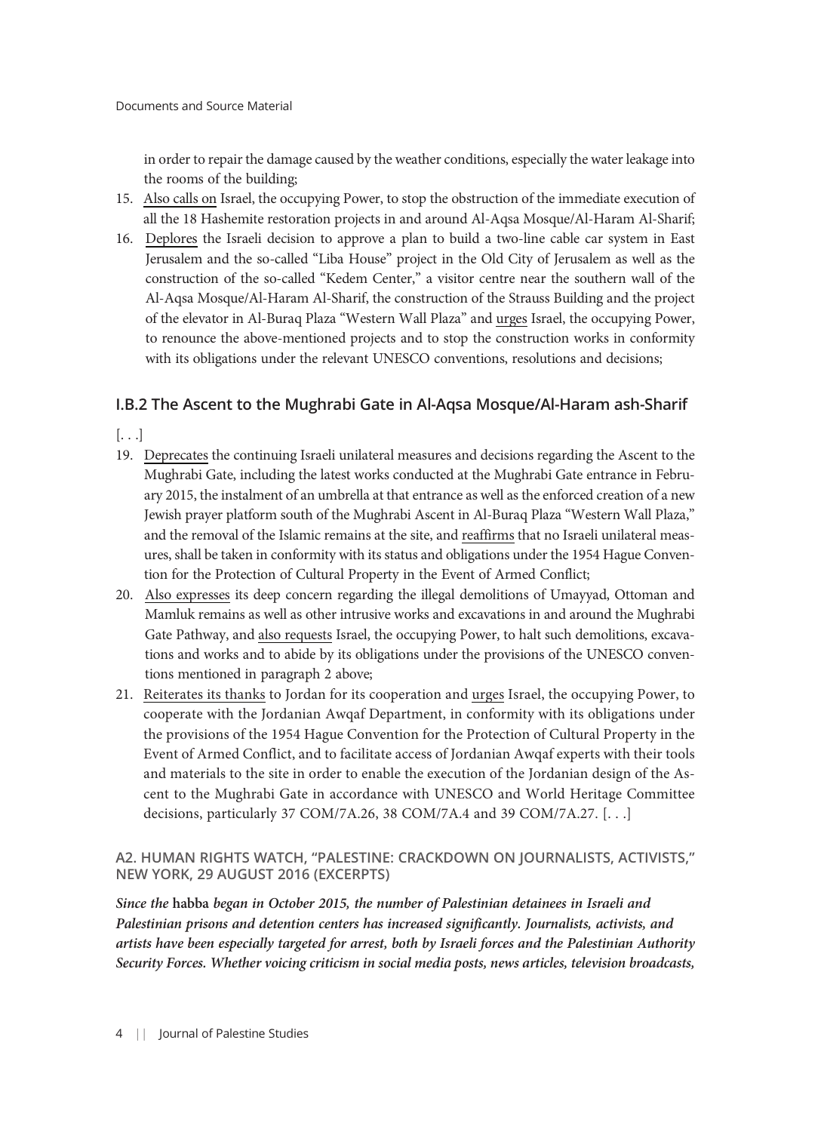in order to repair the damage caused by the weather conditions, especially the water leakage into the rooms of the building;

- 15. Also calls on Israel, the occupying Power, to stop the obstruction of the immediate execution of all the 18 Hashemite restoration projects in and around Al-Aqsa Mosque/Al-Haram Al-Sharif;
- 16. Deplores the Israeli decision to approve a plan to build a two-line cable car system in East Jerusalem and the so-called "Liba House" project in the Old City of Jerusalem as well as the construction of the so-called "Kedem Center," a visitor centre near the southern wall of the Al-Aqsa Mosque/Al-Haram Al-Sharif, the construction of the Strauss Building and the project of the elevator in Al-Buraq Plaza "Western Wall Plaza" and urges Israel, the occupying Power, to renounce the above-mentioned projects and to stop the construction works in conformity with its obligations under the relevant UNESCO conventions, resolutions and decisions;

# I.B.2 The Ascent to the Mughrabi Gate in Al-Aqsa Mosque/Al-Haram ash-Sharif

 $\left[ \ldots \right]$ 

- 19. Deprecates the continuing Israeli unilateral measures and decisions regarding the Ascent to the Mughrabi Gate, including the latest works conducted at the Mughrabi Gate entrance in February 2015, the instalment of an umbrella at that entrance as well as the enforced creation of a new Jewish prayer platform south of the Mughrabi Ascent in Al-Buraq Plaza "Western Wall Plaza," and the removal of the Islamic remains at the site, and reaffirms that no Israeli unilateral measures, shall be taken in conformity with its status and obligations under the 1954 Hague Convention for the Protection of Cultural Property in the Event of Armed Conflict;
- 20. Also expresses its deep concern regarding the illegal demolitions of Umayyad, Ottoman and Mamluk remains as well as other intrusive works and excavations in and around the Mughrabi Gate Pathway, and also requests Israel, the occupying Power, to halt such demolitions, excavations and works and to abide by its obligations under the provisions of the UNESCO conventions mentioned in paragraph 2 above;
- 21. Reiterates its thanks to Jordan for its cooperation and urges Israel, the occupying Power, to cooperate with the Jordanian Awqaf Department, in conformity with its obligations under the provisions of the 1954 Hague Convention for the Protection of Cultural Property in the Event of Armed Conflict, and to facilitate access of Jordanian Awqaf experts with their tools and materials to the site in order to enable the execution of the Jordanian design of the Ascent to the Mughrabi Gate in accordance with UNESCO and World Heritage Committee decisions, particularly 37 COM/7A.26, 38 COM/7A.4 and 39 COM/7A.27. [. . .]

# A2. HUMAN RIGHTS WATCH, "PALESTINE: CRACKDOWN ON JOURNALISTS, ACTIVISTS," NEW YORK, 29 AUGUST 2016 (EXCERPTS)

Since the habba began in October 2015, the number of Palestinian detainees in Israeli and Palestinian prisons and detention centers has increased significantly. Journalists, activists, and artists have been especially targeted for arrest, both by Israeli forces and the Palestinian Authority Security Forces. Whether voicing criticism in social media posts, news articles, television broadcasts,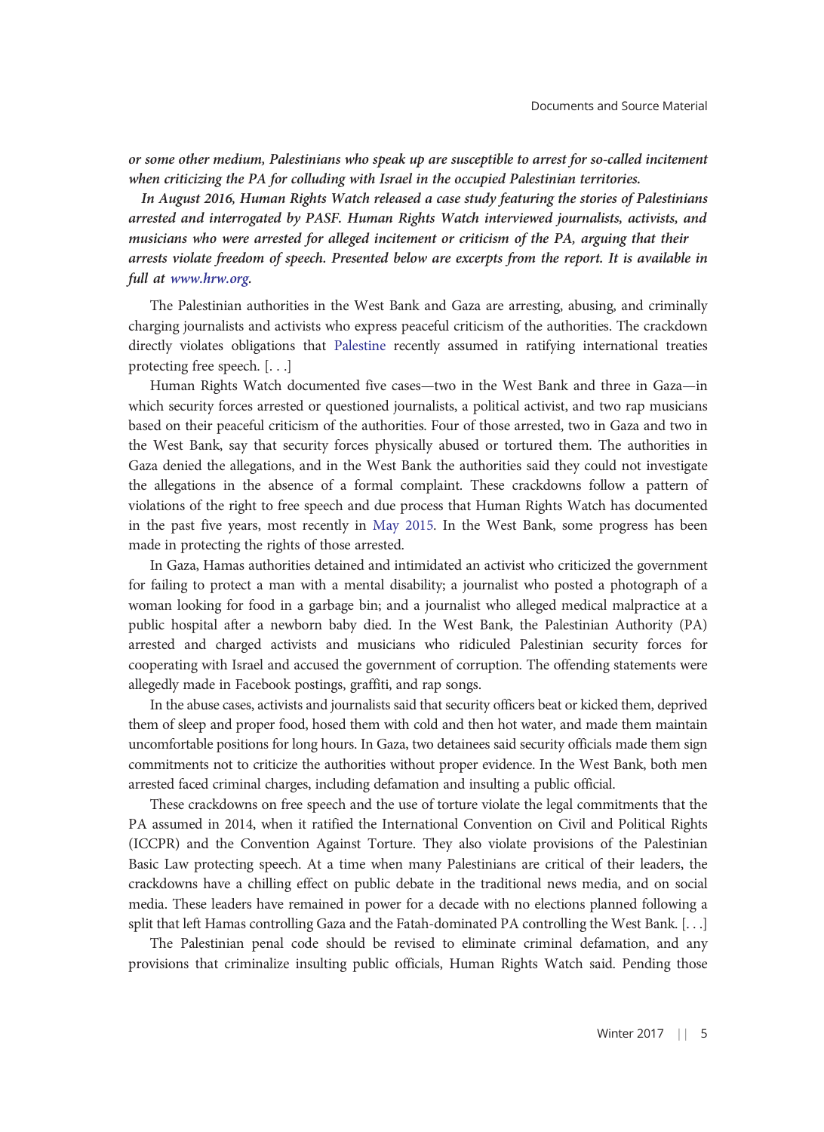or some other medium, Palestinians who speak up are susceptible to arrest for so-called incitement when criticizing the PA for colluding with Israel in the occupied Palestinian territories.

In August 2016, Human Rights Watch released a case study featuring the stories of Palestinians arrested and interrogated by PASF. Human Rights Watch interviewed journalists, activists, and musicians who were arrested for alleged incitement or criticism of the PA, arguing that their arrests violate freedom of speech. Presented below are excerpts from the report. It is available in full at [www.hrw.org.](http://www.hrw.org)

The Palestinian authorities in the West Bank and Gaza are arresting, abusing, and criminally charging journalists and activists who express peaceful criticism of the authorities. The crackdown directly violates obligations that [Palestine](https://www.hrw.org/middle-east/n-africa/israel/palestine) recently assumed in ratifying international treaties protecting free speech. [. . .]

Human Rights Watch documented five cases—two in the West Bank and three in Gaza—in which security forces arrested or questioned journalists, a political activist, and two rap musicians based on their peaceful criticism of the authorities. Four of those arrested, two in Gaza and two in the West Bank, say that security forces physically abused or tortured them. The authorities in Gaza denied the allegations, and in the West Bank the authorities said they could not investigate the allegations in the absence of a formal complaint. These crackdowns follow a pattern of violations of the right to free speech and due process that Human Rights Watch has documented in the past five years, most recently in [May 2015](https://www.hrw.org/news/2015/05/07/palestine-students-detained-political-opinions). In the West Bank, some progress has been made in protecting the rights of those arrested.

In Gaza, Hamas authorities detained and intimidated an activist who criticized the government for failing to protect a man with a mental disability; a journalist who posted a photograph of a woman looking for food in a garbage bin; and a journalist who alleged medical malpractice at a public hospital after a newborn baby died. In the West Bank, the Palestinian Authority (PA) arrested and charged activists and musicians who ridiculed Palestinian security forces for cooperating with Israel and accused the government of corruption. The offending statements were allegedly made in Facebook postings, graffiti, and rap songs.

In the abuse cases, activists and journalists said that security officers beat or kicked them, deprived them of sleep and proper food, hosed them with cold and then hot water, and made them maintain uncomfortable positions for long hours. In Gaza, two detainees said security officials made them sign commitments not to criticize the authorities without proper evidence. In the West Bank, both men arrested faced criminal charges, including defamation and insulting a public official.

These crackdowns on free speech and the use of torture violate the legal commitments that the PA assumed in 2014, when it ratified the International Convention on Civil and Political Rights (ICCPR) and the Convention Against Torture. They also violate provisions of the Palestinian Basic Law protecting speech. At a time when many Palestinians are critical of their leaders, the crackdowns have a chilling effect on public debate in the traditional news media, and on social media. These leaders have remained in power for a decade with no elections planned following a split that left Hamas controlling Gaza and the Fatah-dominated PA controlling the West Bank. [. . .]

The Palestinian penal code should be revised to eliminate criminal defamation, and any provisions that criminalize insulting public officials, Human Rights Watch said. Pending those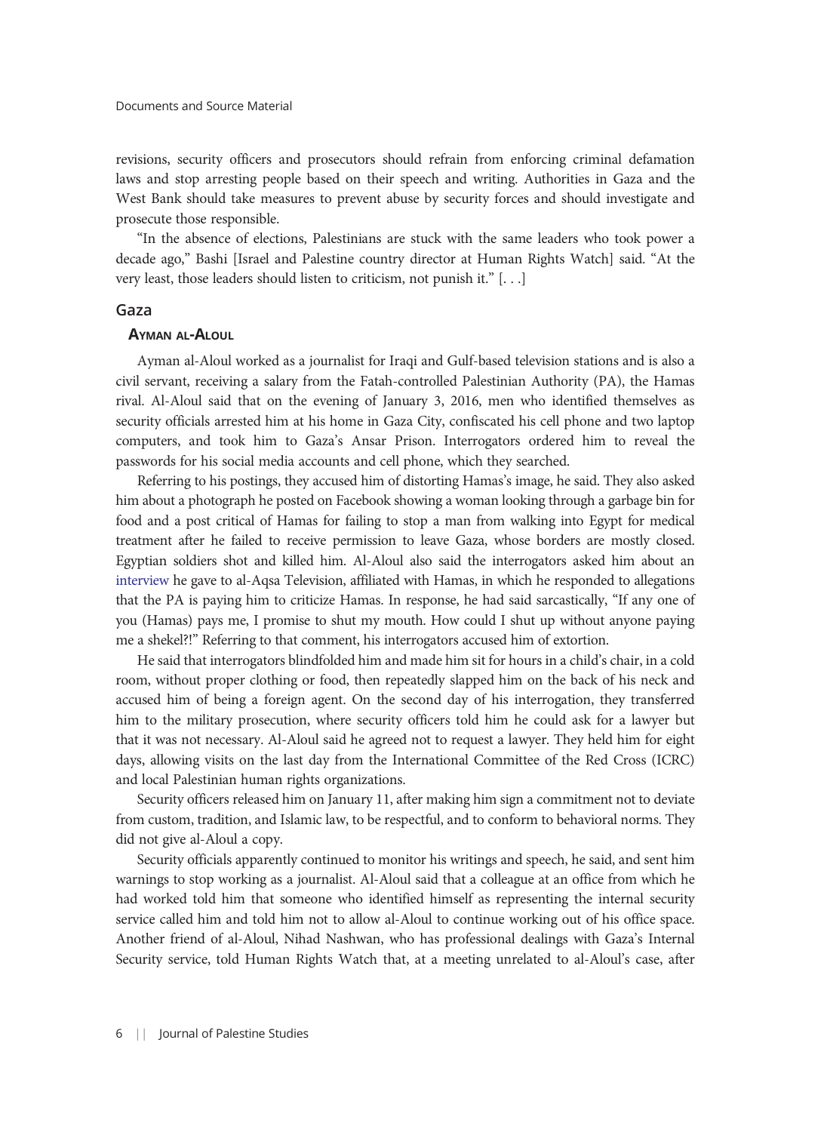revisions, security officers and prosecutors should refrain from enforcing criminal defamation laws and stop arresting people based on their speech and writing. Authorities in Gaza and the West Bank should take measures to prevent abuse by security forces and should investigate and prosecute those responsible.

"In the absence of elections, Palestinians are stuck with the same leaders who took power a decade ago," Bashi [Israel and Palestine country director at Human Rights Watch] said. "At the very least, those leaders should listen to criticism, not punish it." [. . .]

#### Gaza

#### AYMAN AL-ALOUL

Ayman al-Aloul worked as a journalist for Iraqi and Gulf-based television stations and is also a civil servant, receiving a salary from the Fatah-controlled Palestinian Authority (PA), the Hamas rival. Al-Aloul said that on the evening of January 3, 2016, men who identified themselves as security officials arrested him at his home in Gaza City, confiscated his cell phone and two laptop computers, and took him to Gaza's Ansar Prison. Interrogators ordered him to reveal the passwords for his social media accounts and cell phone, which they searched.

Referring to his postings, they accused him of distorting Hamas's image, he said. They also asked him about a photograph he posted on Facebook showing a woman looking through a garbage bin for food and a post critical of Hamas for failing to stop a man from walking into Egypt for medical treatment after he failed to receive permission to leave Gaza, whose borders are mostly closed. Egyptian soldiers shot and killed him. Al-Aloul also said the interrogators asked him about an [interview](http://www.youtube.com/watch?v=KJ3CgGXapTQ&app=desktop) he gave to al-Aqsa Television, affiliated with Hamas, in which he responded to allegations that the PA is paying him to criticize Hamas. In response, he had said sarcastically, "If any one of you (Hamas) pays me, I promise to shut my mouth. How could I shut up without anyone paying me a shekel?!" Referring to that comment, his interrogators accused him of extortion.

He said that interrogators blindfolded him and made him sit for hours in a child's chair, in a cold room, without proper clothing or food, then repeatedly slapped him on the back of his neck and accused him of being a foreign agent. On the second day of his interrogation, they transferred him to the military prosecution, where security officers told him he could ask for a lawyer but that it was not necessary. Al-Aloul said he agreed not to request a lawyer. They held him for eight days, allowing visits on the last day from the International Committee of the Red Cross (ICRC) and local Palestinian human rights organizations.

Security officers released him on January 11, after making him sign a commitment not to deviate from custom, tradition, and Islamic law, to be respectful, and to conform to behavioral norms. They did not give al-Aloul a copy.

Security officials apparently continued to monitor his writings and speech, he said, and sent him warnings to stop working as a journalist. Al-Aloul said that a colleague at an office from which he had worked told him that someone who identified himself as representing the internal security service called him and told him not to allow al-Aloul to continue working out of his office space. Another friend of al-Aloul, Nihad Nashwan, who has professional dealings with Gaza's Internal Security service, told Human Rights Watch that, at a meeting unrelated to al-Aloul's case, after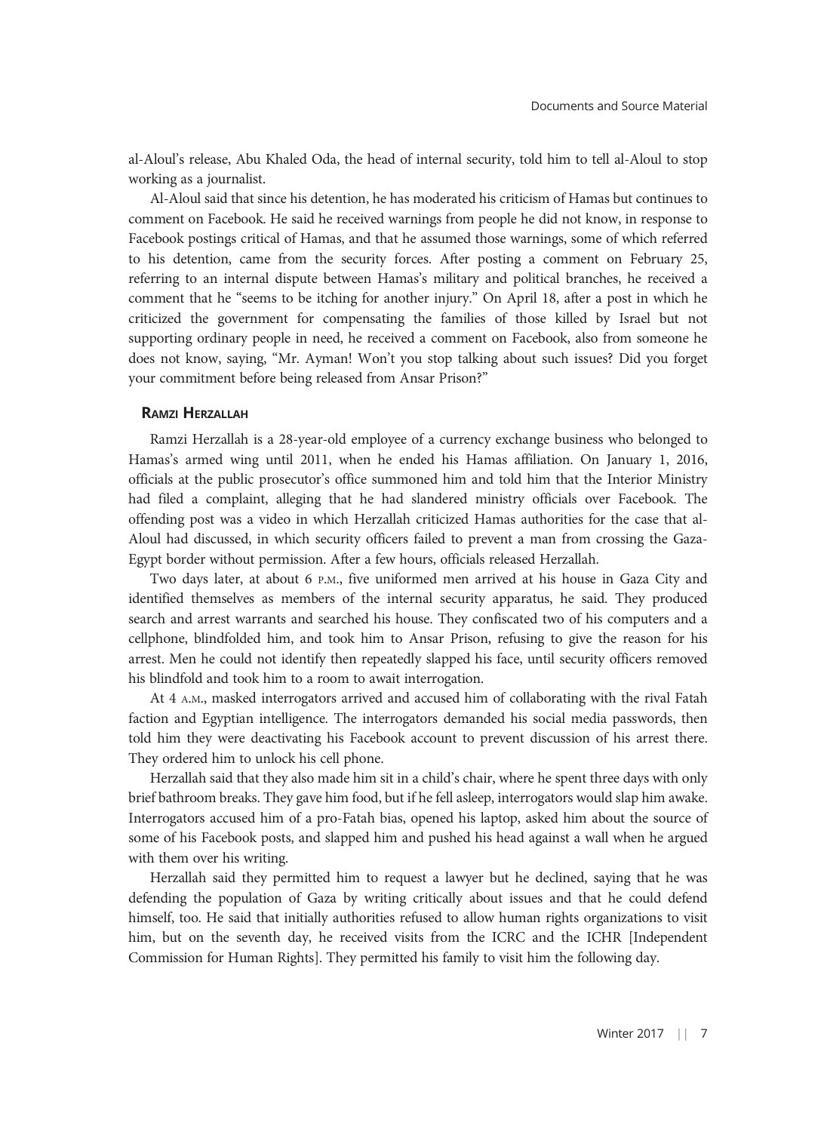al-Aloul's release, Abu Khaled Oda, the head of internal security, told him to tell al-Aloul to stop working as a journalist.

Al-Aloul said that since his detention, he has moderated his criticism of Hamas but continues to comment on Facebook. He said he received warnings from people he did not know, in response to Facebook postings critical of Hamas, and that he assumed those warnings, some of which referred to his detention, came from the security forces. After posting a comment on February 25, referring to an internal dispute between Hamas's military and political branches, he received a comment that he "seems to be itching for another injury." On April 18, after a post in which he criticized the government for compensating the families of those killed by Israel but not supporting ordinary people in need, he received a comment on Facebook, also from someone he does not know, saying, "Mr. Ayman! Won't you stop talking about such issues? Did you forget your commitment before being released from Ansar Prison?"

#### RAMZI HERZALLAH

Ramzi Herzallah is a 28-year-old employee of a currency exchange business who belonged to Hamas's armed wing until 2011, when he ended his Hamas affiliation. On January 1, 2016, officials at the public prosecutor's office summoned him and told him that the Interior Ministry had filed a complaint, alleging that he had slandered ministry officials over Facebook. The offending post was a video in which Herzallah criticized Hamas authorities for the case that al-Aloul had discussed, in which security officers failed to prevent a man from crossing the Gaza-Egypt border without permission. After a few hours, officials released Herzallah.

Two days later, at about 6 P.M., five uniformed men arrived at his house in Gaza City and identified themselves as members of the internal security apparatus, he said. They produced search and arrest warrants and searched his house. They confiscated two of his computers and a cellphone, blindfolded him, and took him to Ansar Prison, refusing to give the reason for his arrest. Men he could not identify then repeatedly slapped his face, until security officers removed his blindfold and took him to a room to await interrogation.

At 4 A.M., masked interrogators arrived and accused him of collaborating with the rival Fatah faction and Egyptian intelligence. The interrogators demanded his social media passwords, then told him they were deactivating his Facebook account to prevent discussion of his arrest there. They ordered him to unlock his cell phone.

Herzallah said that they also made him sit in a child's chair, where he spent three days with only brief bathroom breaks. They gave him food, but if he fell asleep, interrogators would slap him awake. Interrogators accused him of a pro-Fatah bias, opened his laptop, asked him about the source of some of his Facebook posts, and slapped him and pushed his head against a wall when he argued with them over his writing.

Herzallah said they permitted him to request a lawyer but he declined, saying that he was defending the population of Gaza by writing critically about issues and that he could defend himself, too. He said that initially authorities refused to allow human rights organizations to visit him, but on the seventh day, he received visits from the ICRC and the ICHR [Independent Commission for Human Rights]. They permitted his family to visit him the following day.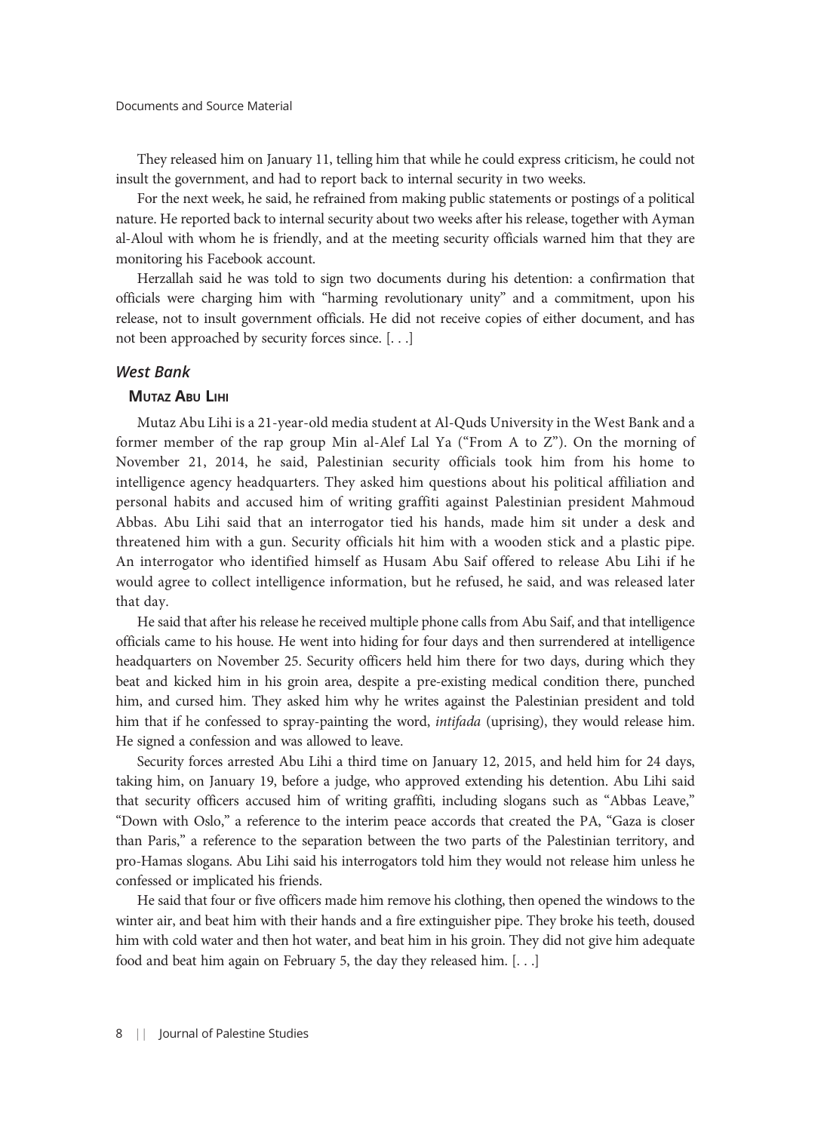They released him on January 11, telling him that while he could express criticism, he could not insult the government, and had to report back to internal security in two weeks.

For the next week, he said, he refrained from making public statements or postings of a political nature. He reported back to internal security about two weeks after his release, together with Ayman al-Aloul with whom he is friendly, and at the meeting security officials warned him that they are monitoring his Facebook account.

Herzallah said he was told to sign two documents during his detention: a confirmation that officials were charging him with "harming revolutionary unity" and a commitment, upon his release, not to insult government officials. He did not receive copies of either document, and has not been approached by security forces since. [. . .]

#### West Bank

#### **MUTAZ ABU LIHI**

Mutaz Abu Lihi is a 21-year-old media student at Al-Quds University in the West Bank and a former member of the rap group Min al-Alef Lal Ya ("From A to Z"). On the morning of November 21, 2014, he said, Palestinian security officials took him from his home to intelligence agency headquarters. They asked him questions about his political affiliation and personal habits and accused him of writing graffiti against Palestinian president Mahmoud Abbas. Abu Lihi said that an interrogator tied his hands, made him sit under a desk and threatened him with a gun. Security officials hit him with a wooden stick and a plastic pipe. An interrogator who identified himself as Husam Abu Saif offered to release Abu Lihi if he would agree to collect intelligence information, but he refused, he said, and was released later that day.

He said that after his release he received multiple phone calls from Abu Saif, and that intelligence officials came to his house. He went into hiding for four days and then surrendered at intelligence headquarters on November 25. Security officers held him there for two days, during which they beat and kicked him in his groin area, despite a pre-existing medical condition there, punched him, and cursed him. They asked him why he writes against the Palestinian president and told him that if he confessed to spray-painting the word, *intifada* (uprising), they would release him. He signed a confession and was allowed to leave.

Security forces arrested Abu Lihi a third time on January 12, 2015, and held him for 24 days, taking him, on January 19, before a judge, who approved extending his detention. Abu Lihi said that security officers accused him of writing graffiti, including slogans such as "Abbas Leave," "Down with Oslo," a reference to the interim peace accords that created the PA, "Gaza is closer than Paris," a reference to the separation between the two parts of the Palestinian territory, and pro-Hamas slogans. Abu Lihi said his interrogators told him they would not release him unless he confessed or implicated his friends.

He said that four or five officers made him remove his clothing, then opened the windows to the winter air, and beat him with their hands and a fire extinguisher pipe. They broke his teeth, doused him with cold water and then hot water, and beat him in his groin. They did not give him adequate food and beat him again on February 5, the day they released him. [. . .]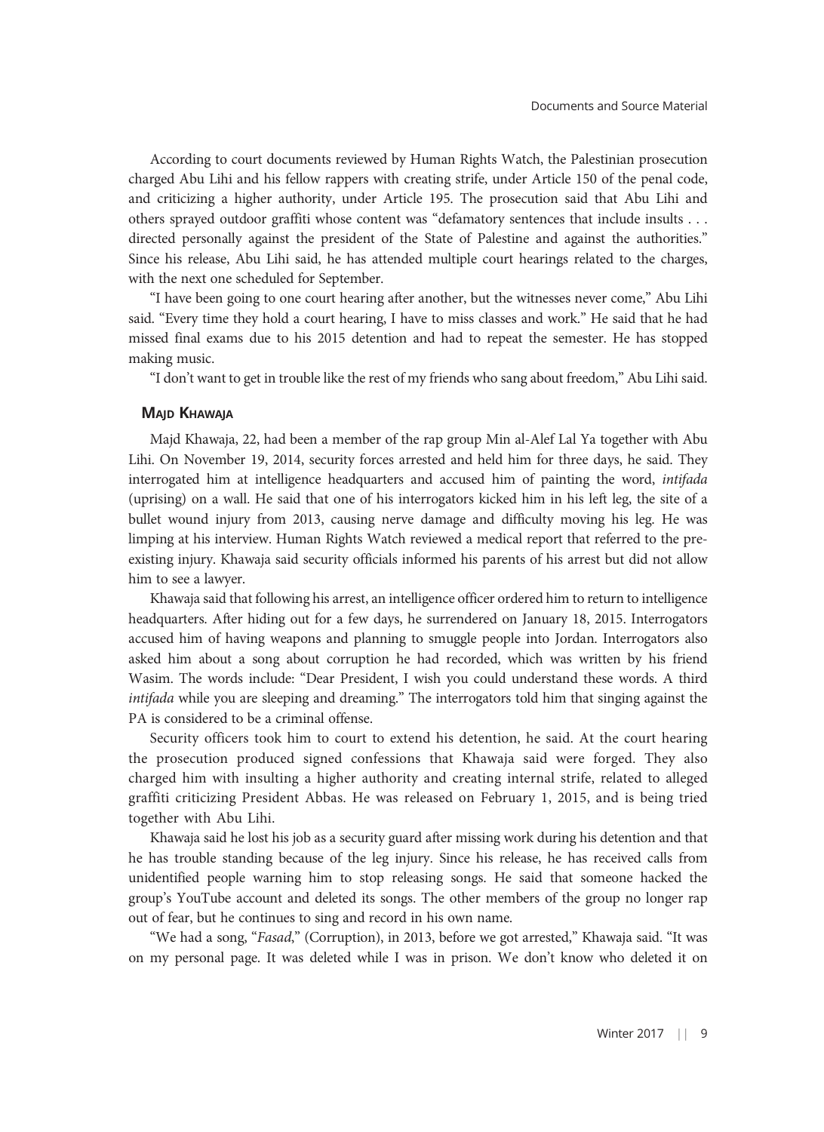According to court documents reviewed by Human Rights Watch, the Palestinian prosecution charged Abu Lihi and his fellow rappers with creating strife, under Article 150 of the penal code, and criticizing a higher authority, under Article 195. The prosecution said that Abu Lihi and others sprayed outdoor graffiti whose content was "defamatory sentences that include insults . . . directed personally against the president of the State of Palestine and against the authorities." Since his release, Abu Lihi said, he has attended multiple court hearings related to the charges, with the next one scheduled for September.

"I have been going to one court hearing after another, but the witnesses never come," Abu Lihi said. "Every time they hold a court hearing, I have to miss classes and work." He said that he had missed final exams due to his 2015 detention and had to repeat the semester. He has stopped making music.

"I don't want to get in trouble like the rest of my friends who sang about freedom," Abu Lihi said.

#### MAJD KHAWAJA

Majd Khawaja, 22, had been a member of the rap group Min al-Alef Lal Ya together with Abu Lihi. On November 19, 2014, security forces arrested and held him for three days, he said. They interrogated him at intelligence headquarters and accused him of painting the word, intifada (uprising) on a wall. He said that one of his interrogators kicked him in his left leg, the site of a bullet wound injury from 2013, causing nerve damage and difficulty moving his leg. He was limping at his interview. Human Rights Watch reviewed a medical report that referred to the preexisting injury. Khawaja said security officials informed his parents of his arrest but did not allow him to see a lawyer.

Khawaja said that following his arrest, an intelligence officer ordered him to return to intelligence headquarters. After hiding out for a few days, he surrendered on January 18, 2015. Interrogators accused him of having weapons and planning to smuggle people into Jordan. Interrogators also asked him about a song about corruption he had recorded, which was written by his friend Wasim. The words include: "Dear President, I wish you could understand these words. A third intifada while you are sleeping and dreaming." The interrogators told him that singing against the PA is considered to be a criminal offense.

Security officers took him to court to extend his detention, he said. At the court hearing the prosecution produced signed confessions that Khawaja said were forged. They also charged him with insulting a higher authority and creating internal strife, related to alleged graffiti criticizing President Abbas. He was released on February 1, 2015, and is being tried together with Abu Lihi.

Khawaja said he lost his job as a security guard after missing work during his detention and that he has trouble standing because of the leg injury. Since his release, he has received calls from unidentified people warning him to stop releasing songs. He said that someone hacked the group's YouTube account and deleted its songs. The other members of the group no longer rap out of fear, but he continues to sing and record in his own name.

"We had a song, "Fasad," (Corruption), in 2013, before we got arrested," Khawaja said. "It was on my personal page. It was deleted while I was in prison. We don't know who deleted it on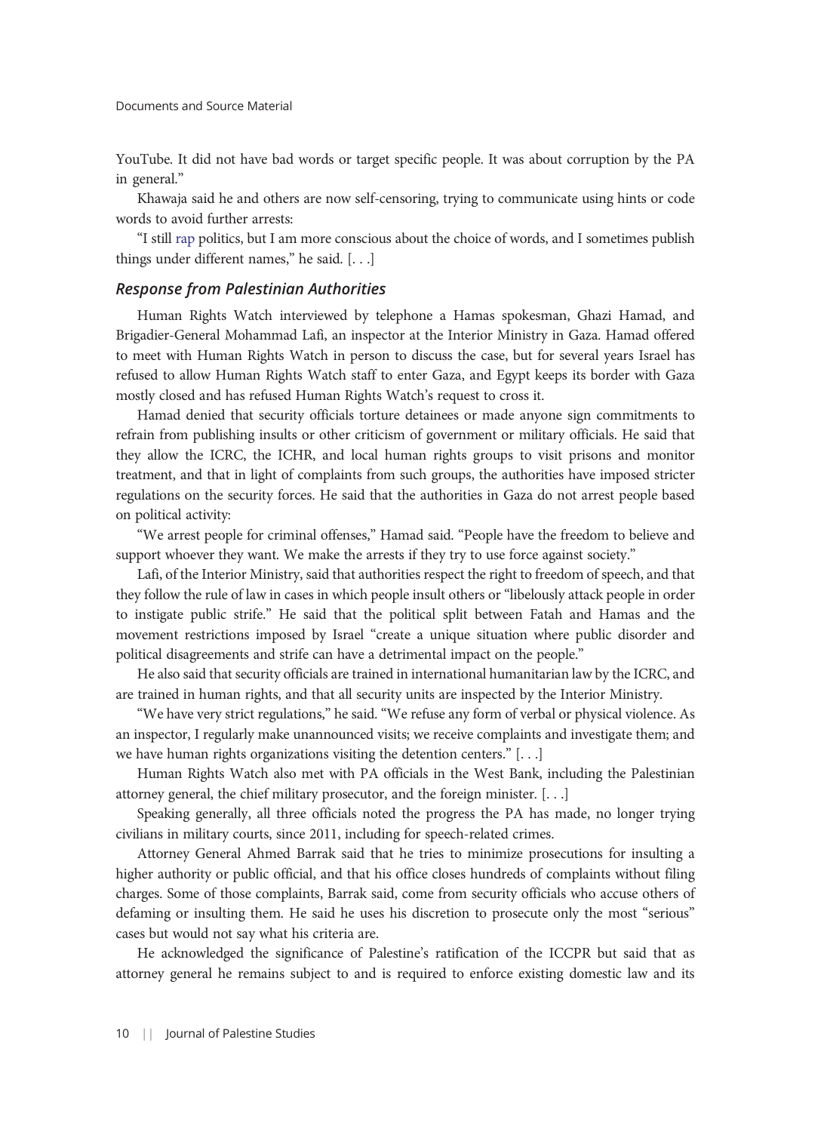YouTube. It did not have bad words or target specific people. It was about corruption by the PA in general."

Khawaja said he and others are now self-censoring, trying to communicate using hints or code words to avoid further arrests:

"I still [rap](http://https://youtu.be/dEnb4iKSikk) politics, but I am more conscious about the choice of words, and I sometimes publish things under different names," he said. [. . .]

#### Response from Palestinian Authorities

Human Rights Watch interviewed by telephone a Hamas spokesman, Ghazi Hamad, and Brigadier-General Mohammad Lafi, an inspector at the Interior Ministry in Gaza. Hamad offered to meet with Human Rights Watch in person to discuss the case, but for several years Israel has refused to allow Human Rights Watch staff to enter Gaza, and Egypt keeps its border with Gaza mostly closed and has refused Human Rights Watch's request to cross it.

Hamad denied that security officials torture detainees or made anyone sign commitments to refrain from publishing insults or other criticism of government or military officials. He said that they allow the ICRC, the ICHR, and local human rights groups to visit prisons and monitor treatment, and that in light of complaints from such groups, the authorities have imposed stricter regulations on the security forces. He said that the authorities in Gaza do not arrest people based on political activity:

"We arrest people for criminal offenses," Hamad said. "People have the freedom to believe and support whoever they want. We make the arrests if they try to use force against society."

Lafi, of the Interior Ministry, said that authorities respect the right to freedom of speech, and that they follow the rule of law in cases in which people insult others or "libelously attack people in order to instigate public strife." He said that the political split between Fatah and Hamas and the movement restrictions imposed by Israel "create a unique situation where public disorder and political disagreements and strife can have a detrimental impact on the people."

He also said that security officials are trained in international humanitarian law by the ICRC, and are trained in human rights, and that all security units are inspected by the Interior Ministry.

"We have very strict regulations," he said. "We refuse any form of verbal or physical violence. As an inspector, I regularly make unannounced visits; we receive complaints and investigate them; and we have human rights organizations visiting the detention centers." [. . .]

Human Rights Watch also met with PA officials in the West Bank, including the Palestinian attorney general, the chief military prosecutor, and the foreign minister. [. . .]

Speaking generally, all three officials noted the progress the PA has made, no longer trying civilians in military courts, since 2011, including for speech-related crimes.

Attorney General Ahmed Barrak said that he tries to minimize prosecutions for insulting a higher authority or public official, and that his office closes hundreds of complaints without filing charges. Some of those complaints, Barrak said, come from security officials who accuse others of defaming or insulting them. He said he uses his discretion to prosecute only the most "serious" cases but would not say what his criteria are.

He acknowledged the significance of Palestine's ratification of the ICCPR but said that as attorney general he remains subject to and is required to enforce existing domestic law and its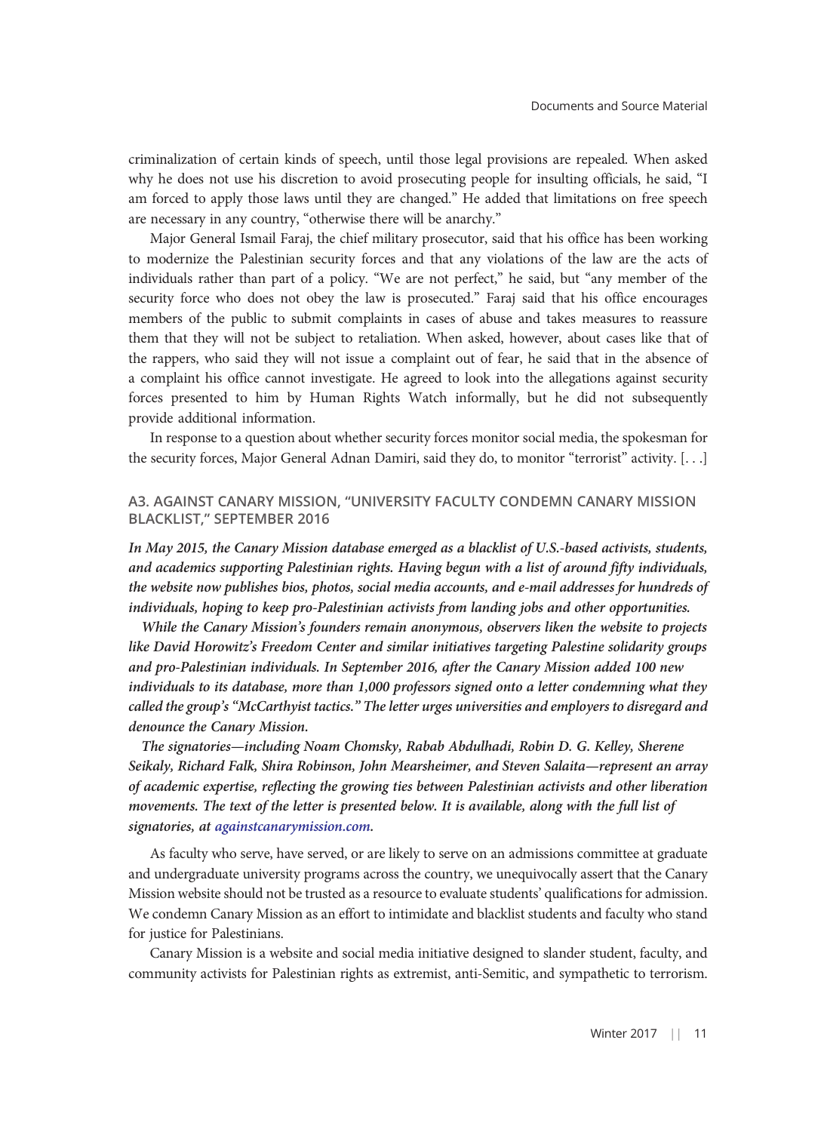criminalization of certain kinds of speech, until those legal provisions are repealed. When asked why he does not use his discretion to avoid prosecuting people for insulting officials, he said, "I am forced to apply those laws until they are changed." He added that limitations on free speech are necessary in any country, "otherwise there will be anarchy."

Major General Ismail Faraj, the chief military prosecutor, said that his office has been working to modernize the Palestinian security forces and that any violations of the law are the acts of individuals rather than part of a policy. "We are not perfect," he said, but "any member of the security force who does not obey the law is prosecuted." Faraj said that his office encourages members of the public to submit complaints in cases of abuse and takes measures to reassure them that they will not be subject to retaliation. When asked, however, about cases like that of the rappers, who said they will not issue a complaint out of fear, he said that in the absence of a complaint his office cannot investigate. He agreed to look into the allegations against security forces presented to him by Human Rights Watch informally, but he did not subsequently provide additional information.

In response to a question about whether security forces monitor social media, the spokesman for the security forces, Major General Adnan Damiri, said they do, to monitor "terrorist" activity. [. . .]

#### A3. AGAINST CANARY MISSION, "UNIVERSITY FACULTY CONDEMN CANARY MISSION BLACKLIST," SEPTEMBER 2016

In May 2015, the Canary Mission database emerged as a blacklist of U.S.-based activists, students, and academics supporting Palestinian rights. Having begun with a list of around fifty individuals, the website now publishes bios, photos, social media accounts, and e-mail addresses for hundreds of individuals, hoping to keep pro-Palestinian activists from landing jobs and other opportunities.

While the Canary Mission's founders remain anonymous, observers liken the website to projects like David Horowitz's Freedom Center and similar initiatives targeting Palestine solidarity groups and pro-Palestinian individuals. In September 2016, after the Canary Mission added 100 new individuals to its database, more than 1,000 professors signed onto a letter condemning what they called the group's "McCarthyist tactics." The letter urges universities and employers to disregard and denounce the Canary Mission.

The signatories—including Noam Chomsky, Rabab Abdulhadi, Robin D. G. Kelley, Sherene Seikaly, Richard Falk, Shira Robinson, John Mearsheimer, and Steven Salaita—represent an array of academic expertise, reflecting the growing ties between Palestinian activists and other liberation movements. The text of the letter is presented below. It is available, along with the full list of signatories, at [againstcanarymission.com](http://againstcanarymission.com/).

As faculty who serve, have served, or are likely to serve on an admissions committee at graduate and undergraduate university programs across the country, we unequivocally assert that the Canary Mission website should not be trusted as a resource to evaluate students' qualifications for admission. We condemn Canary Mission as an effort to intimidate and blacklist students and faculty who stand for justice for Palestinians.

Canary Mission is a website and social media initiative designed to slander student, faculty, and community activists for Palestinian rights as extremist, anti-Semitic, and sympathetic to terrorism.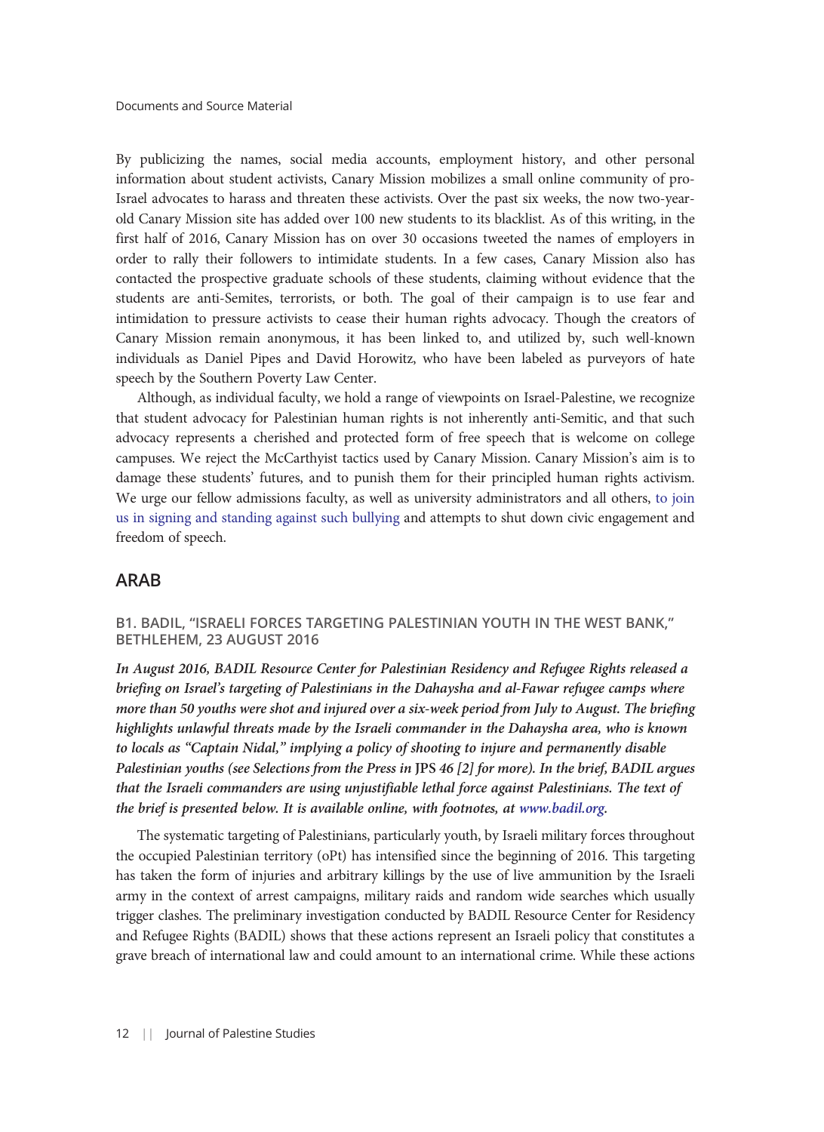By publicizing the names, social media accounts, employment history, and other personal information about student activists, Canary Mission mobilizes a small online community of pro-Israel advocates to harass and threaten these activists. Over the past six weeks, the now two-yearold Canary Mission site has added over 100 new students to its blacklist. As of this writing, in the first half of 2016, Canary Mission has on over 30 occasions tweeted the names of employers in order to rally their followers to intimidate students. In a few cases, Canary Mission also has contacted the prospective graduate schools of these students, claiming without evidence that the students are anti-Semites, terrorists, or both. The goal of their campaign is to use fear and intimidation to pressure activists to cease their human rights advocacy. Though the creators of Canary Mission remain anonymous, it has been linked to, and utilized by, such well-known individuals as Daniel Pipes and David Horowitz, who have been labeled as purveyors of hate speech by the Southern Poverty Law Center.

Although, as individual faculty, we hold a range of viewpoints on Israel-Palestine, we recognize that student advocacy for Palestinian human rights is not inherently anti-Semitic, and that such advocacy represents a cherished and protected form of free speech that is welcome on college campuses. We reject the McCarthyist tactics used by Canary Mission. Canary Mission's aim is to damage these students' futures, and to punish them for their principled human rights activism. We urge our fellow admissions faculty, as well as university administrators and all others, [to join](https://goo.gl/forms/N1wyZt33SHEJDvzv1) [us in signing and standing against such bullying](https://goo.gl/forms/N1wyZt33SHEJDvzv1) and attempts to shut down civic engagement and freedom of speech.

#### ARAB

#### B1. BADIL, "ISRAELI FORCES TARGETING PALESTINIAN YOUTH IN THE WEST BANK," BETHLEHEM, 23 AUGUST 2016

In August 2016, BADIL Resource Center for Palestinian Residency and Refugee Rights released a briefing on Israel's targeting of Palestinians in the Dahaysha and al-Fawar refugee camps where more than 50 youths were shot and injured over a six-week period from July to August. The briefing highlights unlawful threats made by the Israeli commander in the Dahaysha area, who is known to locals as "Captain Nidal," implying a policy of shooting to injure and permanently disable Palestinian youths (see Selections from the Press in JPS 46 [2] for more). In the brief, BADIL argues that the Israeli commanders are using unjustifiable lethal force against Palestinians. The text of the brief is presented below. It is available online, with footnotes, at [www.badil.org.](http://www.badil.org/en/publication/press-releases/77-2016/4629-pr-en-230816-37.html)

The systematic targeting of Palestinians, particularly youth, by Israeli military forces throughout the occupied Palestinian territory (oPt) has intensified since the beginning of 2016. This targeting has taken the form of injuries and arbitrary killings by the use of live ammunition by the Israeli army in the context of arrest campaigns, military raids and random wide searches which usually trigger clashes. The preliminary investigation conducted by BADIL Resource Center for Residency and Refugee Rights (BADIL) shows that these actions represent an Israeli policy that constitutes a grave breach of international law and could amount to an international crime. While these actions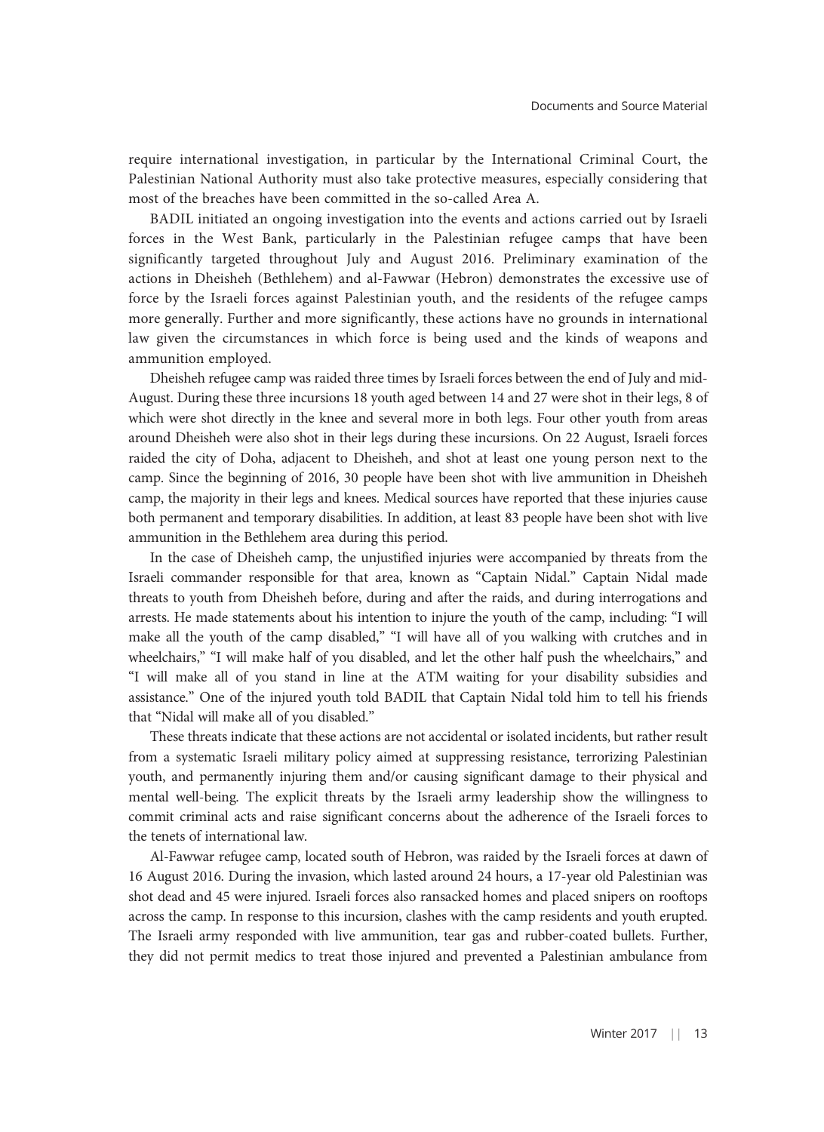require international investigation, in particular by the International Criminal Court, the Palestinian National Authority must also take protective measures, especially considering that most of the breaches have been committed in the so-called Area A.

BADIL initiated an ongoing investigation into the events and actions carried out by Israeli forces in the West Bank, particularly in the Palestinian refugee camps that have been significantly targeted throughout July and August 2016. Preliminary examination of the actions in Dheisheh (Bethlehem) and al-Fawwar (Hebron) demonstrates the excessive use of force by the Israeli forces against Palestinian youth, and the residents of the refugee camps more generally. Further and more significantly, these actions have no grounds in international law given the circumstances in which force is being used and the kinds of weapons and ammunition employed.

Dheisheh refugee camp was raided three times by Israeli forces between the end of July and mid-August. During these three incursions 18 youth aged between 14 and 27 were shot in their legs, 8 of which were shot directly in the knee and several more in both legs. Four other youth from areas around Dheisheh were also shot in their legs during these incursions. On 22 August, Israeli forces raided the city of Doha, adjacent to Dheisheh, and shot at least one young person next to the camp. Since the beginning of 2016, 30 people have been shot with live ammunition in Dheisheh camp, the majority in their legs and knees. Medical sources have reported that these injuries cause both permanent and temporary disabilities. In addition, at least 83 people have been shot with live ammunition in the Bethlehem area during this period.

In the case of Dheisheh camp, the unjustified injuries were accompanied by threats from the Israeli commander responsible for that area, known as "Captain Nidal." Captain Nidal made threats to youth from Dheisheh before, during and after the raids, and during interrogations and arrests. He made statements about his intention to injure the youth of the camp, including: "I will make all the youth of the camp disabled," "I will have all of you walking with crutches and in wheelchairs," "I will make half of you disabled, and let the other half push the wheelchairs," and "I will make all of you stand in line at the ATM waiting for your disability subsidies and assistance." One of the injured youth told BADIL that Captain Nidal told him to tell his friends that "Nidal will make all of you disabled."

These threats indicate that these actions are not accidental or isolated incidents, but rather result from a systematic Israeli military policy aimed at suppressing resistance, terrorizing Palestinian youth, and permanently injuring them and/or causing significant damage to their physical and mental well-being. The explicit threats by the Israeli army leadership show the willingness to commit criminal acts and raise significant concerns about the adherence of the Israeli forces to the tenets of international law.

Al-Fawwar refugee camp, located south of Hebron, was raided by the Israeli forces at dawn of 16 August 2016. During the invasion, which lasted around 24 hours, a 17-year old Palestinian was shot dead and 45 were injured. Israeli forces also ransacked homes and placed snipers on rooftops across the camp. In response to this incursion, clashes with the camp residents and youth erupted. The Israeli army responded with live ammunition, tear gas and rubber-coated bullets. Further, they did not permit medics to treat those injured and prevented a Palestinian ambulance from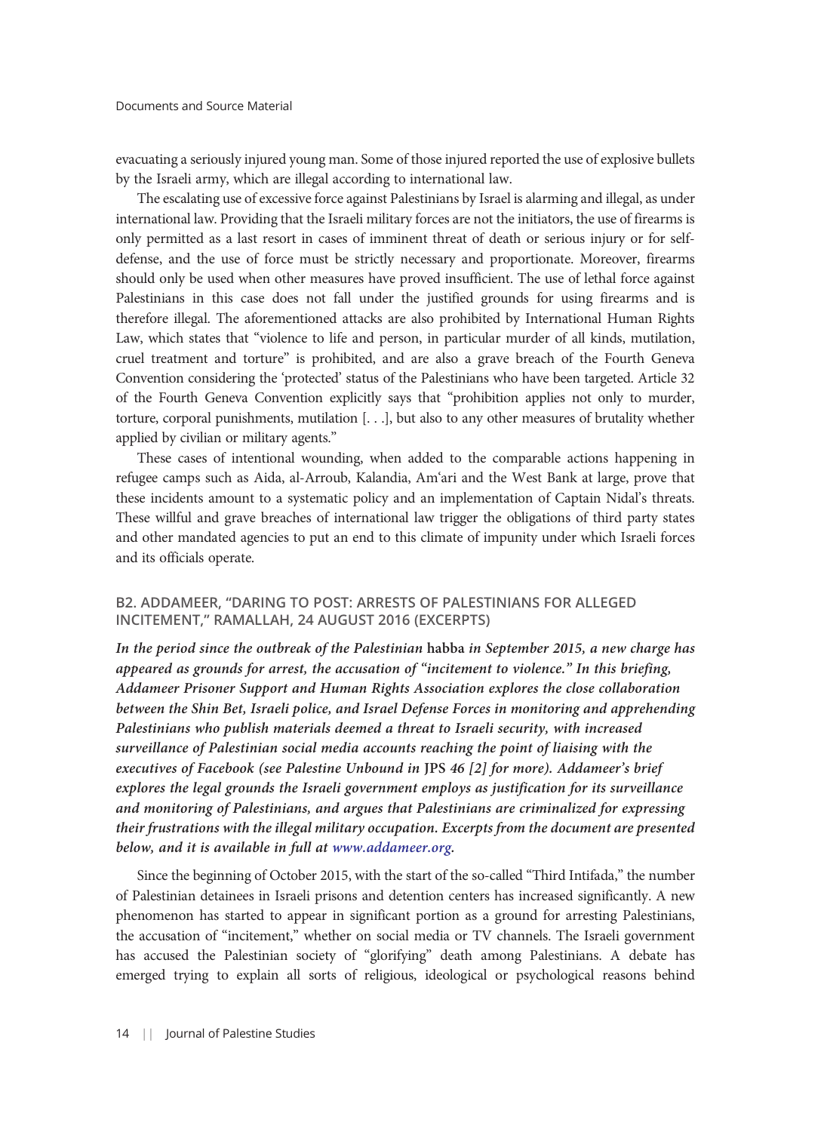evacuating a seriously injured young man. Some of those injured reported the use of explosive bullets by the Israeli army, which are illegal according to international law.

The escalating use of excessive force against Palestinians by Israel is alarming and illegal, as under international law. Providing that the Israeli military forces are not the initiators, the use of firearms is only permitted as a last resort in cases of imminent threat of death or serious injury or for selfdefense, and the use of force must be strictly necessary and proportionate. Moreover, firearms should only be used when other measures have proved insufficient. The use of lethal force against Palestinians in this case does not fall under the justified grounds for using firearms and is therefore illegal. The aforementioned attacks are also prohibited by International Human Rights Law, which states that "violence to life and person, in particular murder of all kinds, mutilation, cruel treatment and torture" is prohibited, and are also a grave breach of the Fourth Geneva Convention considering the 'protected' status of the Palestinians who have been targeted. Article 32 of the Fourth Geneva Convention explicitly says that "prohibition applies not only to murder, torture, corporal punishments, mutilation [. . .], but also to any other measures of brutality whether applied by civilian or military agents."

These cases of intentional wounding, when added to the comparable actions happening in refugee camps such as Aida, al-Arroub, Kalandia, Am'ari and the West Bank at large, prove that these incidents amount to a systematic policy and an implementation of Captain Nidal's threats. These willful and grave breaches of international law trigger the obligations of third party states and other mandated agencies to put an end to this climate of impunity under which Israeli forces and its officials operate.

#### B2. ADDAMEER, "DARING TO POST: ARRESTS OF PALESTINIANS FOR ALLEGED INCITEMENT," RAMALLAH, 24 AUGUST 2016 (EXCERPTS)

In the period since the outbreak of the Palestinian habba in September 2015, a new charge has appeared as grounds for arrest, the accusation of "incitement to violence." In this briefing, Addameer Prisoner Support and Human Rights Association explores the close collaboration between the Shin Bet, Israeli police, and Israel Defense Forces in monitoring and apprehending Palestinians who publish materials deemed a threat to Israeli security, with increased surveillance of Palestinian social media accounts reaching the point of liaising with the executives of Facebook (see Palestine Unbound in JPS 46 [2] for more). Addameer's brief explores the legal grounds the Israeli government employs as justification for its surveillance and monitoring of Palestinians, and argues that Palestinians are criminalized for expressing their frustrations with the illegal military occupation. Excerpts from the document are presented below, and it is available in full at [www.addameer.org.](http://www.addameer.org/sites/default/files/publications/arrests_of_palestinians_for_alleged_incitement.pdf)

Since the beginning of October 2015, with the start of the so-called "Third Intifada," the number of Palestinian detainees in Israeli prisons and detention centers has increased significantly. A new phenomenon has started to appear in significant portion as a ground for arresting Palestinians, the accusation of "incitement," whether on social media or TV channels. The Israeli government has accused the Palestinian society of "glorifying" death among Palestinians. A debate has emerged trying to explain all sorts of religious, ideological or psychological reasons behind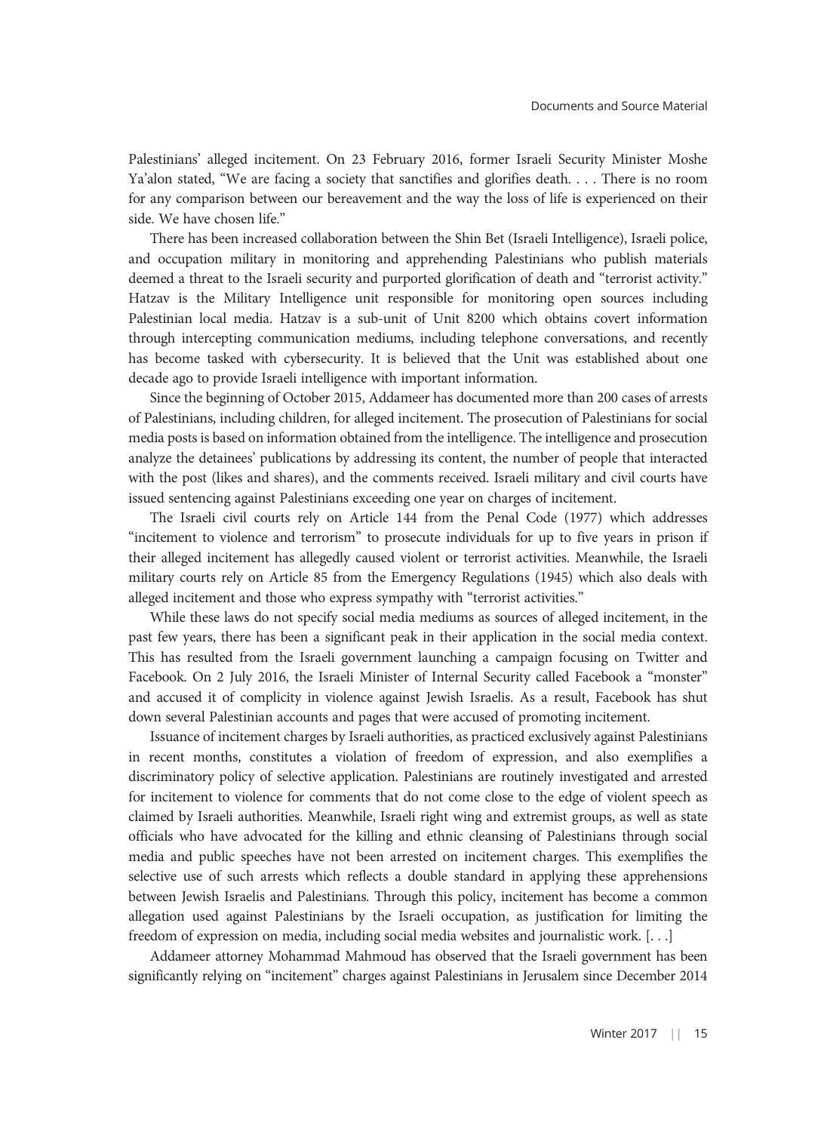Palestinians' alleged incitement. On 23 February 2016, former Israeli Security Minister Moshe Ya'alon stated, "We are facing a society that sanctifies and glorifies death. . . . There is no room for any comparison between our bereavement and the way the loss of life is experienced on their side. We have chosen life."

There has been increased collaboration between the Shin Bet (Israeli Intelligence), Israeli police, and occupation military in monitoring and apprehending Palestinians who publish materials deemed a threat to the Israeli security and purported glorification of death and "terrorist activity." Hatzav is the Military Intelligence unit responsible for monitoring open sources including Palestinian local media. Hatzav is a sub-unit of Unit 8200 which obtains covert information through intercepting communication mediums, including telephone conversations, and recently has become tasked with cybersecurity. It is believed that the Unit was established about one decade ago to provide Israeli intelligence with important information.

Since the beginning of October 2015, Addameer has documented more than 200 cases of arrests of Palestinians, including children, for alleged incitement. The prosecution of Palestinians for social media posts is based on information obtained from the intelligence. The intelligence and prosecution analyze the detainees' publications by addressing its content, the number of people that interacted with the post (likes and shares), and the comments received. Israeli military and civil courts have issued sentencing against Palestinians exceeding one year on charges of incitement.

The Israeli civil courts rely on Article 144 from the Penal Code (1977) which addresses "incitement to violence and terrorism" to prosecute individuals for up to five years in prison if their alleged incitement has allegedly caused violent or terrorist activities. Meanwhile, the Israeli military courts rely on Article 85 from the Emergency Regulations (1945) which also deals with alleged incitement and those who express sympathy with "terrorist activities."

While these laws do not specify social media mediums as sources of alleged incitement, in the past few years, there has been a significant peak in their application in the social media context. This has resulted from the Israeli government launching a campaign focusing on Twitter and Facebook. On 2 July 2016, the Israeli Minister of Internal Security called Facebook a "monster" and accused it of complicity in violence against Jewish Israelis. As a result, Facebook has shut down several Palestinian accounts and pages that were accused of promoting incitement.

Issuance of incitement charges by Israeli authorities, as practiced exclusively against Palestinians in recent months, constitutes a violation of freedom of expression, and also exemplifies a discriminatory policy of selective application. Palestinians are routinely investigated and arrested for incitement to violence for comments that do not come close to the edge of violent speech as claimed by Israeli authorities. Meanwhile, Israeli right wing and extremist groups, as well as state officials who have advocated for the killing and ethnic cleansing of Palestinians through social media and public speeches have not been arrested on incitement charges. This exemplifies the selective use of such arrests which reflects a double standard in applying these apprehensions between Jewish Israelis and Palestinians. Through this policy, incitement has become a common allegation used against Palestinians by the Israeli occupation, as justification for limiting the freedom of expression on media, including social media websites and journalistic work. [. . .]

Addameer attorney Mohammad Mahmoud has observed that the Israeli government has been significantly relying on "incitement" charges against Palestinians in Jerusalem since December 2014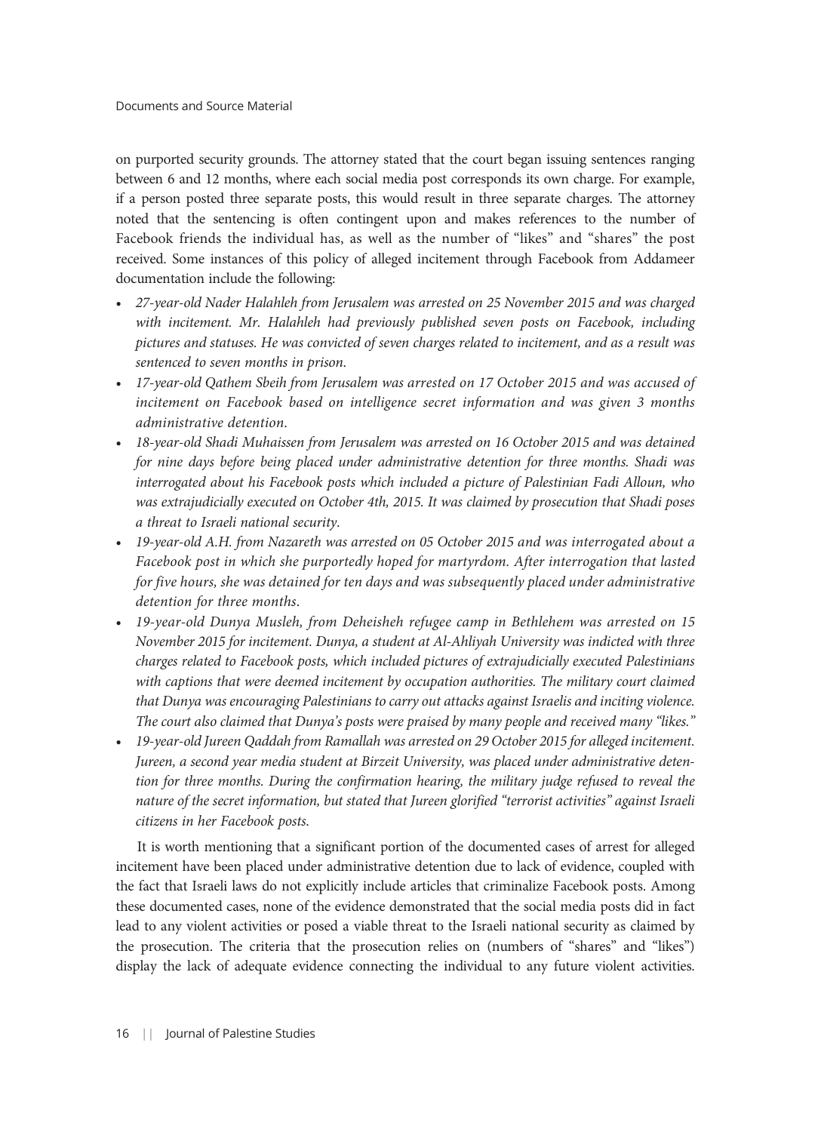on purported security grounds. The attorney stated that the court began issuing sentences ranging between 6 and 12 months, where each social media post corresponds its own charge. For example, if a person posted three separate posts, this would result in three separate charges. The attorney noted that the sentencing is often contingent upon and makes references to the number of Facebook friends the individual has, as well as the number of "likes" and "shares" the post received. Some instances of this policy of alleged incitement through Facebook from Addameer documentation include the following:

- 27-year-old Nader Halahleh from Jerusalem was arrested on 25 November 2015 and was charged with incitement. Mr. Halahleh had previously published seven posts on Facebook, including pictures and statuses. He was convicted of seven charges related to incitement, and as a result was sentenced to seven months in prison.
- 17-year-old Qathem Sbeih from Jerusalem was arrested on 17 October 2015 and was accused of incitement on Facebook based on intelligence secret information and was given 3 months administrative detention.
- 18-year-old Shadi Muhaissen from Jerusalem was arrested on 16 October 2015 and was detained for nine days before being placed under administrative detention for three months. Shadi was interrogated about his Facebook posts which included a picture of Palestinian Fadi Alloun, who was extrajudicially executed on October 4th, 2015. It was claimed by prosecution that Shadi poses a threat to Israeli national security.
- 19-year-old A.H. from Nazareth was arrested on 05 October 2015 and was interrogated about a Facebook post in which she purportedly hoped for martyrdom. After interrogation that lasted for five hours, she was detained for ten days and was subsequently placed under administrative detention for three months.
- 19-year-old Dunya Musleh, from Deheisheh refugee camp in Bethlehem was arrested on 15 November 2015 for incitement. Dunya, a student at Al-Ahliyah University was indicted with three charges related to Facebook posts, which included pictures of extrajudicially executed Palestinians with captions that were deemed incitement by occupation authorities. The military court claimed that Dunya was encouraging Palestinians to carry out attacks against Israelis and inciting violence. The court also claimed that Dunya's posts were praised by many people and received many "likes."
- 19-year-old Jureen Qaddah from Ramallah was arrested on 29 October 2015 for alleged incitement. Jureen, a second year media student at Birzeit University, was placed under administrative detention for three months. During the confirmation hearing, the military judge refused to reveal the nature of the secret information, but stated that Jureen glorified "terrorist activities" against Israeli citizens in her Facebook posts.

It is worth mentioning that a significant portion of the documented cases of arrest for alleged incitement have been placed under administrative detention due to lack of evidence, coupled with the fact that Israeli laws do not explicitly include articles that criminalize Facebook posts. Among these documented cases, none of the evidence demonstrated that the social media posts did in fact lead to any violent activities or posed a viable threat to the Israeli national security as claimed by the prosecution. The criteria that the prosecution relies on (numbers of "shares" and "likes") display the lack of adequate evidence connecting the individual to any future violent activities.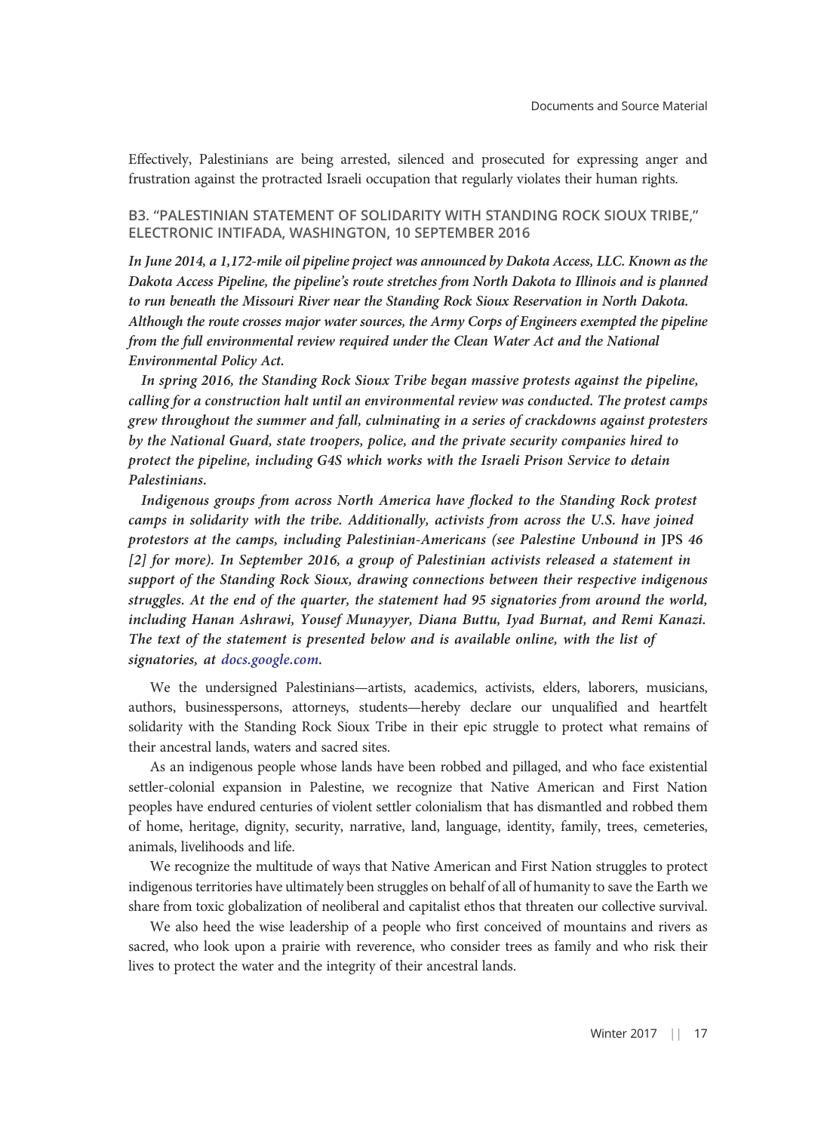Effectively, Palestinians are being arrested, silenced and prosecuted for expressing anger and frustration against the protracted Israeli occupation that regularly violates their human rights.

#### B3. "PALESTINIAN STATEMENT OF SOLIDARITY WITH STANDING ROCK SIOUX TRIBE," ELECTRONIC INTIFADA, WASHINGTON, 10 SEPTEMBER 2016

In June 2014, a 1,172-mile oil pipeline project was announced by Dakota Access, LLC. Known as the Dakota Access Pipeline, the pipeline's route stretches from North Dakota to Illinois and is planned to run beneath the Missouri River near the Standing Rock Sioux Reservation in North Dakota. Although the route crosses major water sources, the Army Corps of Engineers exempted the pipeline from the full environmental review required under the Clean Water Act and the National Environmental Policy Act.

In spring 2016, the Standing Rock Sioux Tribe began massive protests against the pipeline, calling for a construction halt until an environmental review was conducted. The protest camps grew throughout the summer and fall, culminating in a series of crackdowns against protesters by the National Guard, state troopers, police, and the private security companies hired to protect the pipeline, including G4S which works with the Israeli Prison Service to detain Palestinians.

Indigenous groups from across North America have flocked to the Standing Rock protest camps in solidarity with the tribe. Additionally, activists from across the U.S. have joined protestors at the camps, including Palestinian-Americans (see Palestine Unbound in JPS 46 [2] for more). In September 2016, a group of Palestinian activists released a statement in support of the Standing Rock Sioux, drawing connections between their respective indigenous struggles. At the end of the quarter, the statement had 95 signatories from around the world, including Hanan Ashrawi, Yousef Munayyer, Diana Buttu, Iyad Burnat, and Remi Kanazi. The text of the statement is presented below and is available online, with the list of signatories, at [docs.google.com](https://docs.google.com/document/d/1pomK3-5OXpwGRZn27mZNaXHlKzmRyNkSfYtSQpwRvok/edit).

We the undersigned Palestinians—artists, academics, activists, elders, laborers, musicians, authors, businesspersons, attorneys, students—hereby declare our unqualified and heartfelt solidarity with the Standing Rock Sioux Tribe in their epic struggle to protect what remains of their ancestral lands, waters and sacred sites.

As an indigenous people whose lands have been robbed and pillaged, and who face existential settler-colonial expansion in Palestine, we recognize that Native American and First Nation peoples have endured centuries of violent settler colonialism that has dismantled and robbed them of home, heritage, dignity, security, narrative, land, language, identity, family, trees, cemeteries, animals, livelihoods and life.

We recognize the multitude of ways that Native American and First Nation struggles to protect indigenous territories have ultimately been struggles on behalf of all of humanity to save the Earth we share from toxic globalization of neoliberal and capitalist ethos that threaten our collective survival.

We also heed the wise leadership of a people who first conceived of mountains and rivers as sacred, who look upon a prairie with reverence, who consider trees as family and who risk their lives to protect the water and the integrity of their ancestral lands.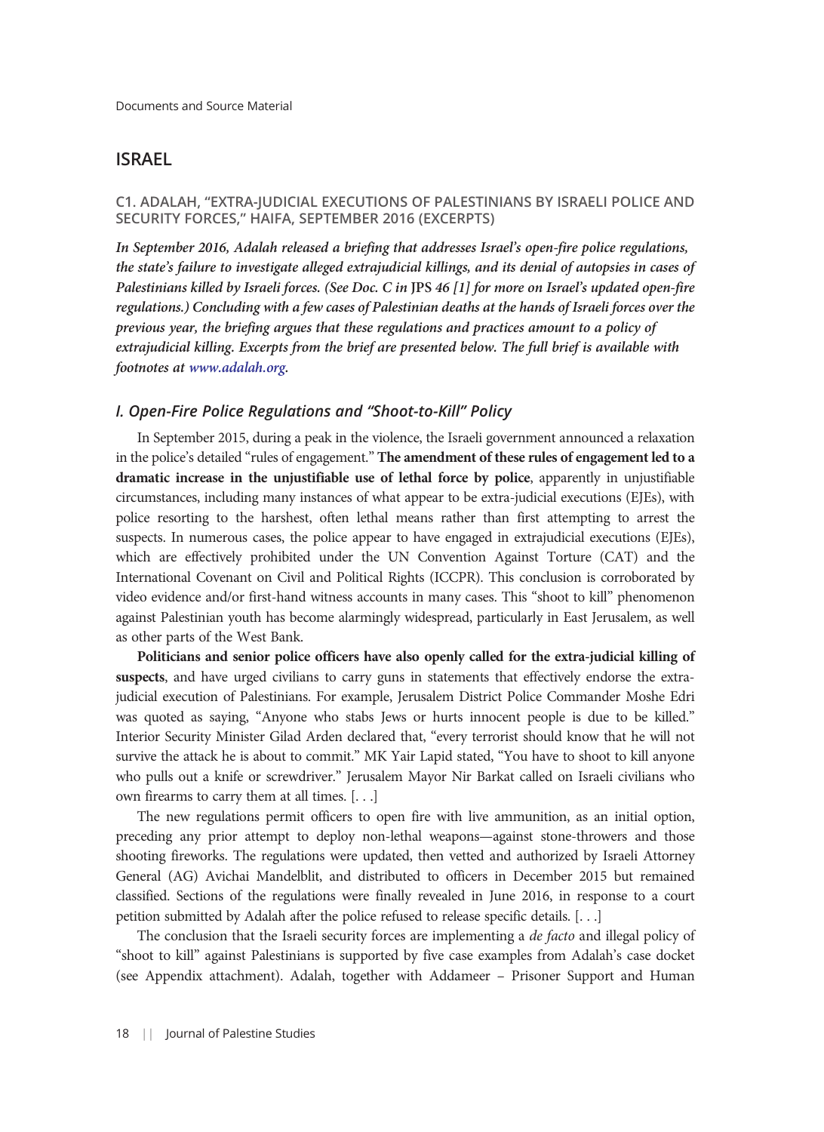# ISRAEL

### C1. ADALAH, "EXTRA-JUDICIAL EXECUTIONS OF PALESTINIANS BY ISRAELI POLICE AND SECURITY FORCES," HAIFA, SEPTEMBER 2016 (EXCERPTS)

In September 2016, Adalah released a briefing that addresses Israel's open-fire police regulations, the state's failure to investigate alleged extrajudicial killings, and its denial of autopsies in cases of Palestinians killed by Israeli forces. (See Doc. C in JPS 46 [1] for more on Israel's updated open-fire regulations.) Concluding with a few cases of Palestinian deaths at the hands of Israeli forces over the previous year, the briefing argues that these regulations and practices amount to a policy of extrajudicial killing. Excerpts from the brief are presented below. The full brief is available with footnotes at [www.adalah.org.](https://www.adalah.org/uploads/uploads/EJEs_Advocacy_Paper_26_Sep_2016_(1).pdf)

#### I. Open-Fire Police Regulations and "Shoot-to-Kill" Policy

In September 2015, during a peak in the violence, the Israeli government announced a relaxation in the police's detailed "rules of engagement." The amendment of these rules of engagement led to a dramatic increase in the unjustifiable use of lethal force by police, apparently in unjustifiable circumstances, including many instances of what appear to be extra-judicial executions (EJEs), with police resorting to the harshest, often lethal means rather than first attempting to arrest the suspects. In numerous cases, the police appear to have engaged in extrajudicial executions (EJEs), which are effectively prohibited under the UN Convention Against Torture (CAT) and the International Covenant on Civil and Political Rights (ICCPR). This conclusion is corroborated by video evidence and/or first-hand witness accounts in many cases. This "shoot to kill" phenomenon against Palestinian youth has become alarmingly widespread, particularly in East Jerusalem, as well as other parts of the West Bank.

Politicians and senior police officers have also openly called for the extra-judicial killing of suspects, and have urged civilians to carry guns in statements that effectively endorse the extrajudicial execution of Palestinians. For example, Jerusalem District Police Commander Moshe Edri was quoted as saying, "Anyone who stabs Jews or hurts innocent people is due to be killed." Interior Security Minister Gilad Arden declared that, "every terrorist should know that he will not survive the attack he is about to commit." MK Yair Lapid stated, "You have to shoot to kill anyone who pulls out a knife or screwdriver." Jerusalem Mayor Nir Barkat called on Israeli civilians who own firearms to carry them at all times. [. . .]

The new regulations permit officers to open fire with live ammunition, as an initial option, preceding any prior attempt to deploy non-lethal weapons—against stone-throwers and those shooting fireworks. The regulations were updated, then vetted and authorized by Israeli Attorney General (AG) Avichai Mandelblit, and distributed to officers in December 2015 but remained classified. Sections of the regulations were finally revealed in June 2016, in response to a court petition submitted by Adalah after the police refused to release specific details. [. . .]

The conclusion that the Israeli security forces are implementing a de facto and illegal policy of "shoot to kill" against Palestinians is supported by five case examples from Adalah's case docket (see Appendix attachment). Adalah, together with Addameer – Prisoner Support and Human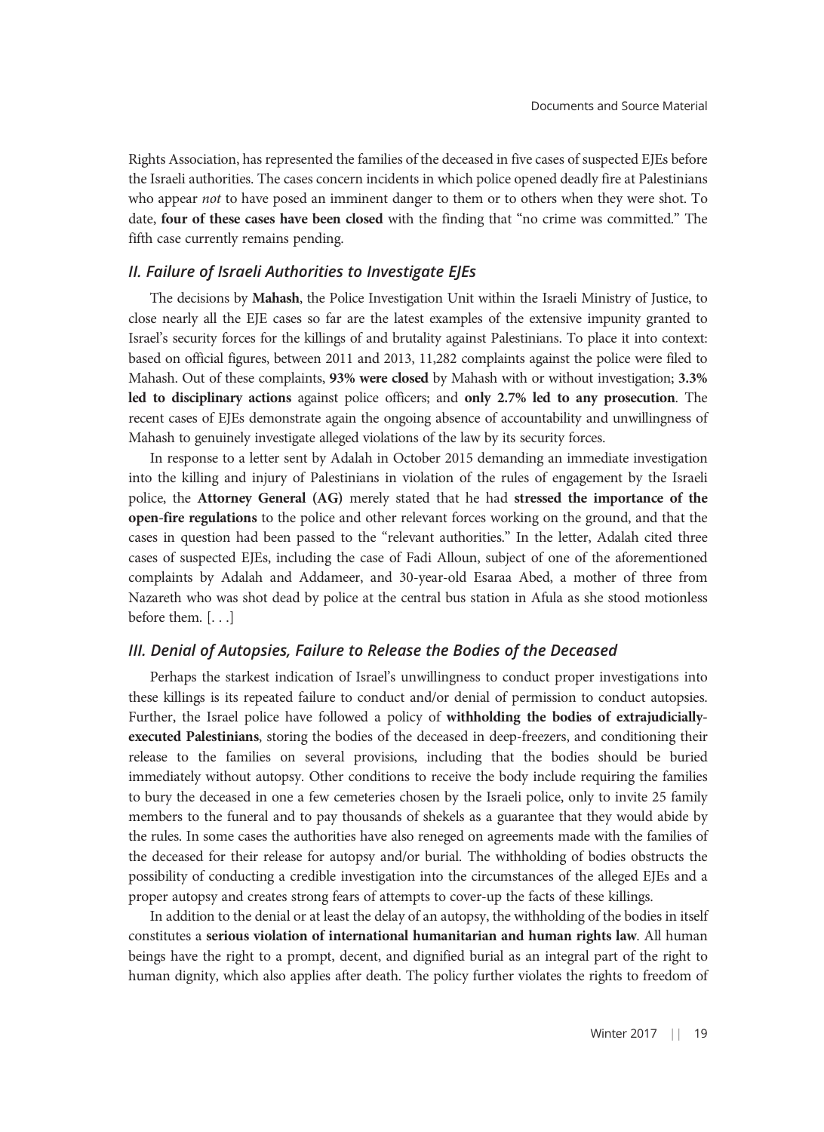Rights Association, has represented the families of the deceased in five cases of suspected EJEs before the Israeli authorities. The cases concern incidents in which police opened deadly fire at Palestinians who appear not to have posed an imminent danger to them or to others when they were shot. To date, four of these cases have been closed with the finding that "no crime was committed." The fifth case currently remains pending.

#### II. Failure of Israeli Authorities to Investigate EJEs

The decisions by Mahash, the Police Investigation Unit within the Israeli Ministry of Justice, to close nearly all the EJE cases so far are the latest examples of the extensive impunity granted to Israel's security forces for the killings of and brutality against Palestinians. To place it into context: based on official figures, between 2011 and 2013, 11,282 complaints against the police were filed to Mahash. Out of these complaints, 93% were closed by Mahash with or without investigation; 3.3% led to disciplinary actions against police officers; and only 2.7% led to any prosecution. The recent cases of EJEs demonstrate again the ongoing absence of accountability and unwillingness of Mahash to genuinely investigate alleged violations of the law by its security forces.

In response to a letter sent by Adalah in October 2015 demanding an immediate investigation into the killing and injury of Palestinians in violation of the rules of engagement by the Israeli police, the Attorney General (AG) merely stated that he had stressed the importance of the open-fire regulations to the police and other relevant forces working on the ground, and that the cases in question had been passed to the "relevant authorities." In the letter, Adalah cited three cases of suspected EJEs, including the case of Fadi Alloun, subject of one of the aforementioned complaints by Adalah and Addameer, and 30-year-old Esaraa Abed, a mother of three from Nazareth who was shot dead by police at the central bus station in Afula as she stood motionless before them. [. . .]

#### III. Denial of Autopsies, Failure to Release the Bodies of the Deceased

Perhaps the starkest indication of Israel's unwillingness to conduct proper investigations into these killings is its repeated failure to conduct and/or denial of permission to conduct autopsies. Further, the Israel police have followed a policy of withholding the bodies of extrajudiciallyexecuted Palestinians, storing the bodies of the deceased in deep-freezers, and conditioning their release to the families on several provisions, including that the bodies should be buried immediately without autopsy. Other conditions to receive the body include requiring the families to bury the deceased in one a few cemeteries chosen by the Israeli police, only to invite 25 family members to the funeral and to pay thousands of shekels as a guarantee that they would abide by the rules. In some cases the authorities have also reneged on agreements made with the families of the deceased for their release for autopsy and/or burial. The withholding of bodies obstructs the possibility of conducting a credible investigation into the circumstances of the alleged EJEs and a proper autopsy and creates strong fears of attempts to cover-up the facts of these killings.

In addition to the denial or at least the delay of an autopsy, the withholding of the bodies in itself constitutes a serious violation of international humanitarian and human rights law. All human beings have the right to a prompt, decent, and dignified burial as an integral part of the right to human dignity, which also applies after death. The policy further violates the rights to freedom of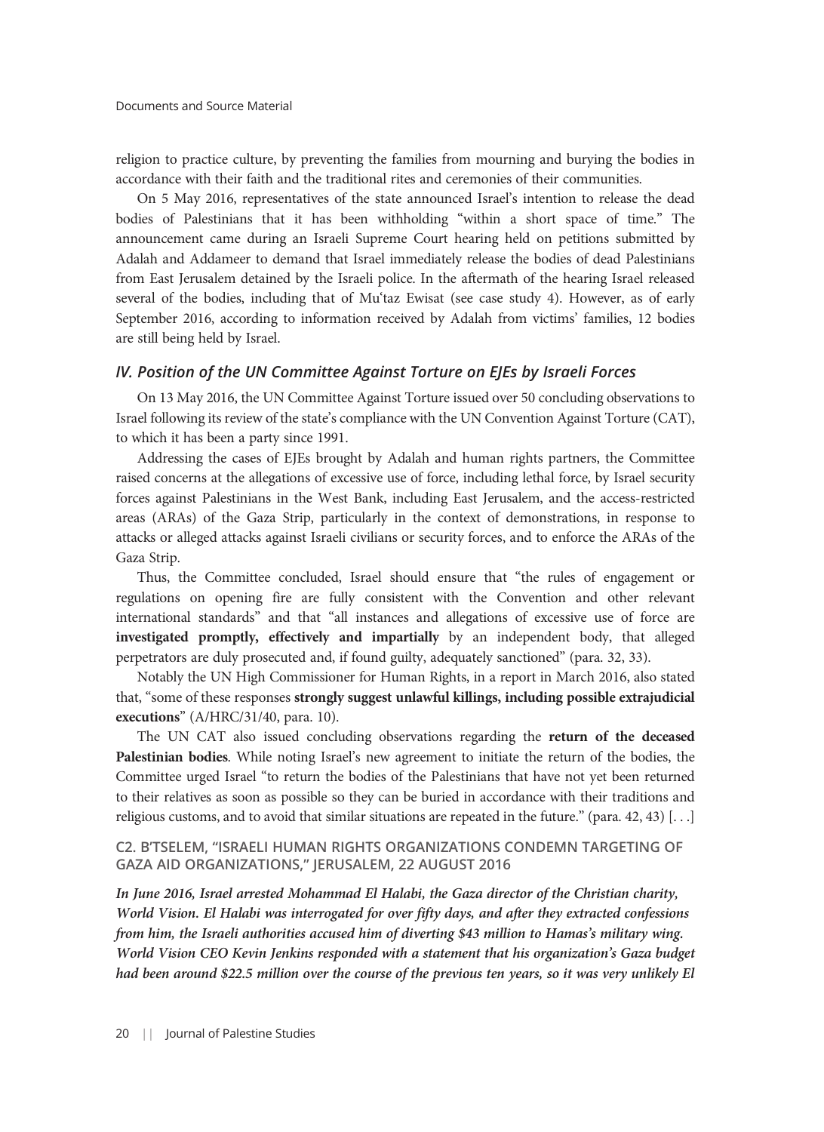religion to practice culture, by preventing the families from mourning and burying the bodies in accordance with their faith and the traditional rites and ceremonies of their communities.

On 5 May 2016, representatives of the state announced Israel's intention to release the dead bodies of Palestinians that it has been withholding "within a short space of time." The announcement came during an Israeli Supreme Court hearing held on petitions submitted by Adalah and Addameer to demand that Israel immediately release the bodies of dead Palestinians from East Jerusalem detained by the Israeli police. In the aftermath of the hearing Israel released several of the bodies, including that of Mu'taz Ewisat (see case study 4). However, as of early September 2016, according to information received by Adalah from victims' families, 12 bodies are still being held by Israel.

#### IV. Position of the UN Committee Against Torture on EJEs by Israeli Forces

On 13 May 2016, the UN Committee Against Torture issued over 50 concluding observations to Israel following its review of the state's compliance with the UN Convention Against Torture (CAT), to which it has been a party since 1991.

Addressing the cases of EJEs brought by Adalah and human rights partners, the Committee raised concerns at the allegations of excessive use of force, including lethal force, by Israel security forces against Palestinians in the West Bank, including East Jerusalem, and the access-restricted areas (ARAs) of the Gaza Strip, particularly in the context of demonstrations, in response to attacks or alleged attacks against Israeli civilians or security forces, and to enforce the ARAs of the Gaza Strip.

Thus, the Committee concluded, Israel should ensure that "the rules of engagement or regulations on opening fire are fully consistent with the Convention and other relevant international standards" and that "all instances and allegations of excessive use of force are investigated promptly, effectively and impartially by an independent body, that alleged perpetrators are duly prosecuted and, if found guilty, adequately sanctioned" (para. 32, 33).

Notably the UN High Commissioner for Human Rights, in a report in March 2016, also stated that, "some of these responses strongly suggest unlawful killings, including possible extrajudicial executions" (A/HRC/31/40, para. 10).

The UN CAT also issued concluding observations regarding the return of the deceased Palestinian bodies. While noting Israel's new agreement to initiate the return of the bodies, the Committee urged Israel "to return the bodies of the Palestinians that have not yet been returned to their relatives as soon as possible so they can be buried in accordance with their traditions and religious customs, and to avoid that similar situations are repeated in the future." (para. 42, 43) [. . .]

#### C2. B'TSELEM, "ISRAELI HUMAN RIGHTS ORGANIZATIONS CONDEMN TARGETING OF GAZA AID ORGANIZATIONS," JERUSALEM, 22 AUGUST 2016

In June 2016, Israel arrested Mohammad El Halabi, the Gaza director of the Christian charity, World Vision. El Halabi was interrogated for over fifty days, and after they extracted confessions from him, the Israeli authorities accused him of diverting \$43 million to Hamas's military wing. World Vision CEO Kevin Jenkins responded with a statement that his organization's Gaza budget had been around \$22.5 million over the course of the previous ten years, so it was very unlikely El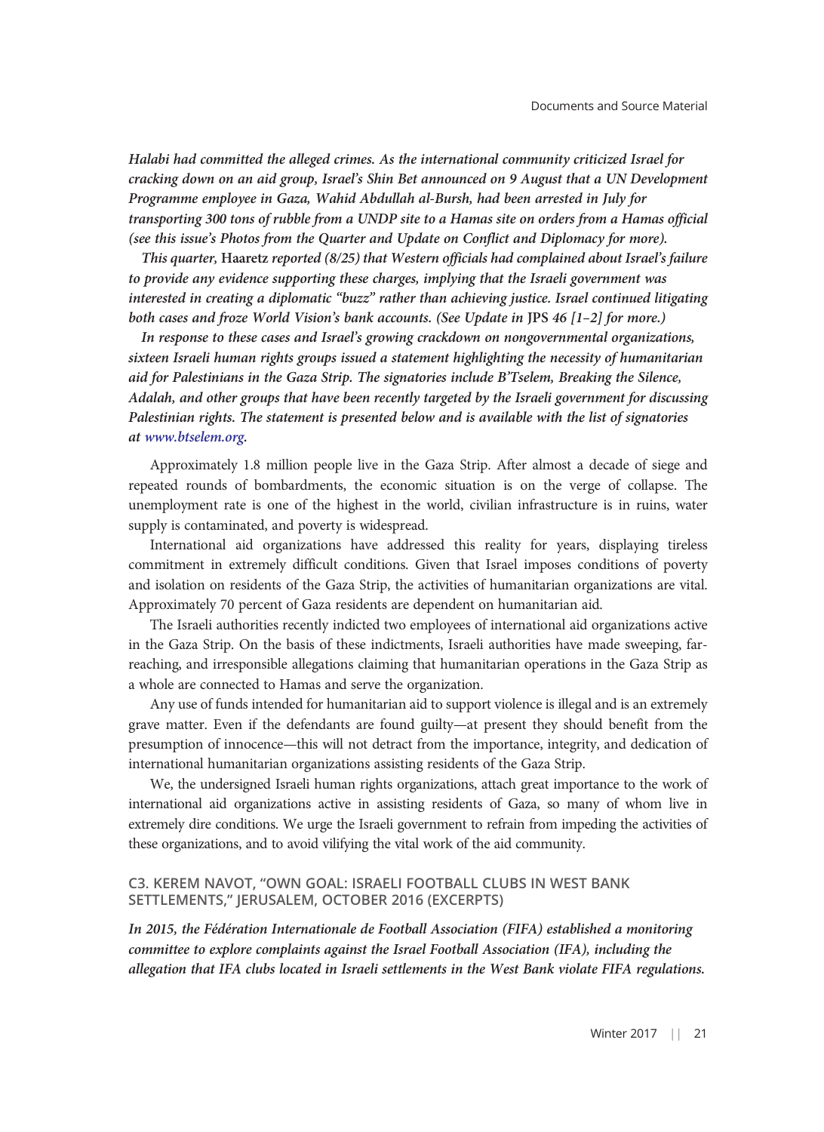Halabi had committed the alleged crimes. As the international community criticized Israel for cracking down on an aid group, Israel's Shin Bet announced on 9 August that a UN Development Programme employee in Gaza, Wahid Abdullah al-Bursh, had been arrested in July for transporting 300 tons of rubble from a UNDP site to a Hamas site on orders from a Hamas official (see this issue's Photos from the Quarter and Update on Conflict and Diplomacy for more).

This quarter, Haaretz reported (8/25) that Western officials had complained about Israel's failure to provide any evidence supporting these charges, implying that the Israeli government was interested in creating a diplomatic "buzz" rather than achieving justice. Israel continued litigating both cases and froze World Vision's bank accounts. (See Update in JPS 46 [1–2] for more.)

In response to these cases and Israel's growing crackdown on nongovernmental organizations, sixteen Israeli human rights groups issued a statement highlighting the necessity of humanitarian aid for Palestinians in the Gaza Strip. The signatories include B'Tselem, Breaking the Silence, Adalah, and other groups that have been recently targeted by the Israeli government for discussing Palestinian rights. The statement is presented below and is available with the list of signatories at [www.btselem.org.](http://www.btselem.org/press_releases/20160822_gaza_humanitarian_aid)

Approximately 1.8 million people live in the Gaza Strip. After almost a decade of siege and repeated rounds of bombardments, the economic situation is on the verge of collapse. The unemployment rate is one of the highest in the world, civilian infrastructure is in ruins, water supply is contaminated, and poverty is widespread.

International aid organizations have addressed this reality for years, displaying tireless commitment in extremely difficult conditions. Given that Israel imposes conditions of poverty and isolation on residents of the Gaza Strip, the activities of humanitarian organizations are vital. Approximately 70 percent of Gaza residents are dependent on humanitarian aid.

The Israeli authorities recently indicted two employees of international aid organizations active in the Gaza Strip. On the basis of these indictments, Israeli authorities have made sweeping, farreaching, and irresponsible allegations claiming that humanitarian operations in the Gaza Strip as a whole are connected to Hamas and serve the organization.

Any use of funds intended for humanitarian aid to support violence is illegal and is an extremely grave matter. Even if the defendants are found guilty—at present they should benefit from the presumption of innocence—this will not detract from the importance, integrity, and dedication of international humanitarian organizations assisting residents of the Gaza Strip.

We, the undersigned Israeli human rights organizations, attach great importance to the work of international aid organizations active in assisting residents of Gaza, so many of whom live in extremely dire conditions. We urge the Israeli government to refrain from impeding the activities of these organizations, and to avoid vilifying the vital work of the aid community.

#### C3. KEREM NAVOT, "OWN GOAL: ISRAELI FOOTBALL CLUBS IN WEST BANK SETTLEMENTS," JERUSALEM, OCTOBER 2016 (EXCERPTS)

In 2015, the Fédération Internationale de Football Association (FIFA) established a monitoring committee to explore complaints against the Israel Football Association (IFA), including the allegation that IFA clubs located in Israeli settlements in the West Bank violate FIFA regulations.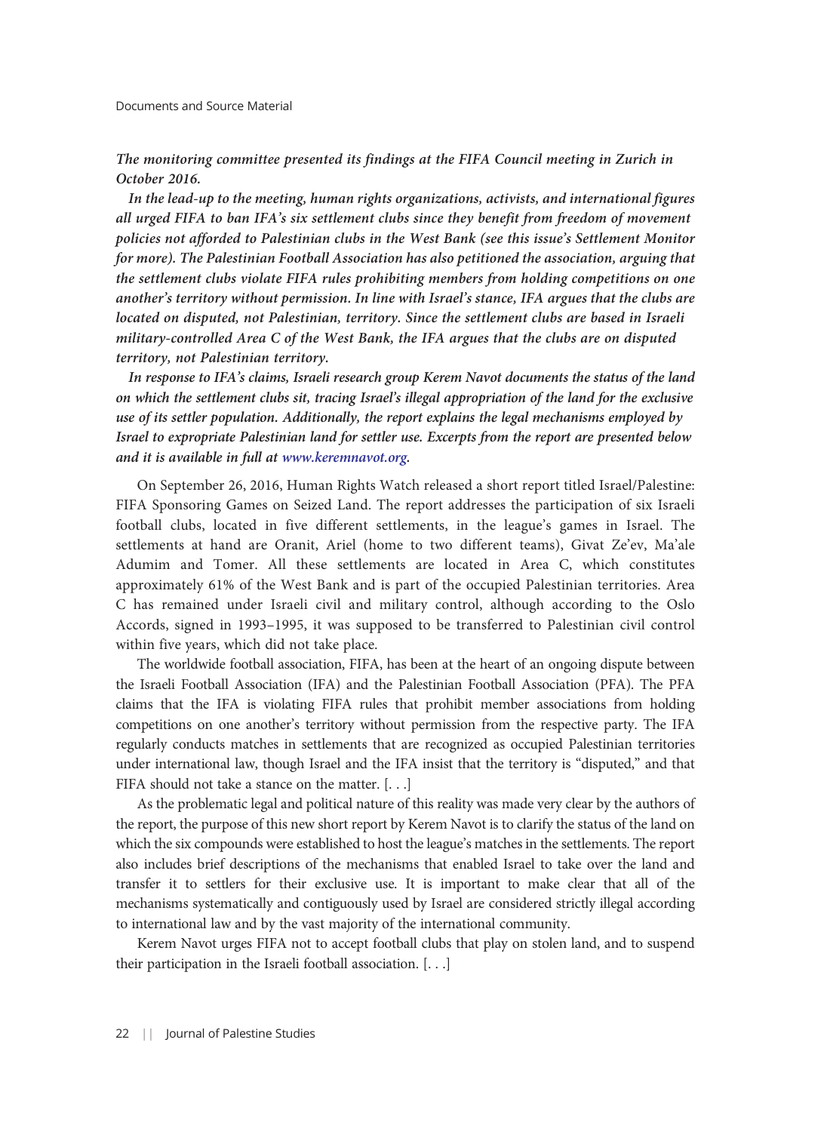#### Documents and Source Material

# The monitoring committee presented its findings at the FIFA Council meeting in Zurich in October 2016.

In the lead-up to the meeting, human rights organizations, activists, and international figures all urged FIFA to ban IFA's six settlement clubs since they benefit from freedom of movement policies not afforded to Palestinian clubs in the West Bank (see this issue's Settlement Monitor for more). The Palestinian Football Association has also petitioned the association, arguing that the settlement clubs violate FIFA rules prohibiting members from holding competitions on one another's territory without permission. In line with Israel's stance, IFA argues that the clubs are located on disputed, not Palestinian, territory. Since the settlement clubs are based in Israeli military-controlled Area C of the West Bank, the IFA argues that the clubs are on disputed territory, not Palestinian territory.

In response to IFA's claims, Israeli research group Kerem Navot documents the status of the land on which the settlement clubs sit, tracing Israel's illegal appropriation of the land for the exclusive use of its settler population. Additionally, the report explains the legal mechanisms employed by Israel to expropriate Palestinian land for settler use. Excerpts from the report are presented below and it is available in full at [www.keremnavot.org.](http://www.keremnavot.org/owngoal)

On September 26, 2016, Human Rights Watch released a short report titled Israel/Palestine: FIFA Sponsoring Games on Seized Land. The report addresses the participation of six Israeli football clubs, located in five different settlements, in the league's games in Israel. The settlements at hand are Oranit, Ariel (home to two different teams), Givat Ze'ev, Ma'ale Adumim and Tomer. All these settlements are located in Area C, which constitutes approximately 61% of the West Bank and is part of the occupied Palestinian territories. Area C has remained under Israeli civil and military control, although according to the Oslo Accords, signed in 1993–1995, it was supposed to be transferred to Palestinian civil control within five years, which did not take place.

The worldwide football association, FIFA, has been at the heart of an ongoing dispute between the Israeli Football Association (IFA) and the Palestinian Football Association (PFA). The PFA claims that the IFA is violating FIFA rules that prohibit member associations from holding competitions on one another's territory without permission from the respective party. The IFA regularly conducts matches in settlements that are recognized as occupied Palestinian territories under international law, though Israel and the IFA insist that the territory is "disputed," and that FIFA should not take a stance on the matter. [...]

As the problematic legal and political nature of this reality was made very clear by the authors of the report, the purpose of this new short report by Kerem Navot is to clarify the status of the land on which the six compounds were established to host the league's matches in the settlements. The report also includes brief descriptions of the mechanisms that enabled Israel to take over the land and transfer it to settlers for their exclusive use. It is important to make clear that all of the mechanisms systematically and contiguously used by Israel are considered strictly illegal according to international law and by the vast majority of the international community.

Kerem Navot urges FIFA not to accept football clubs that play on stolen land, and to suspend their participation in the Israeli football association. [. . .]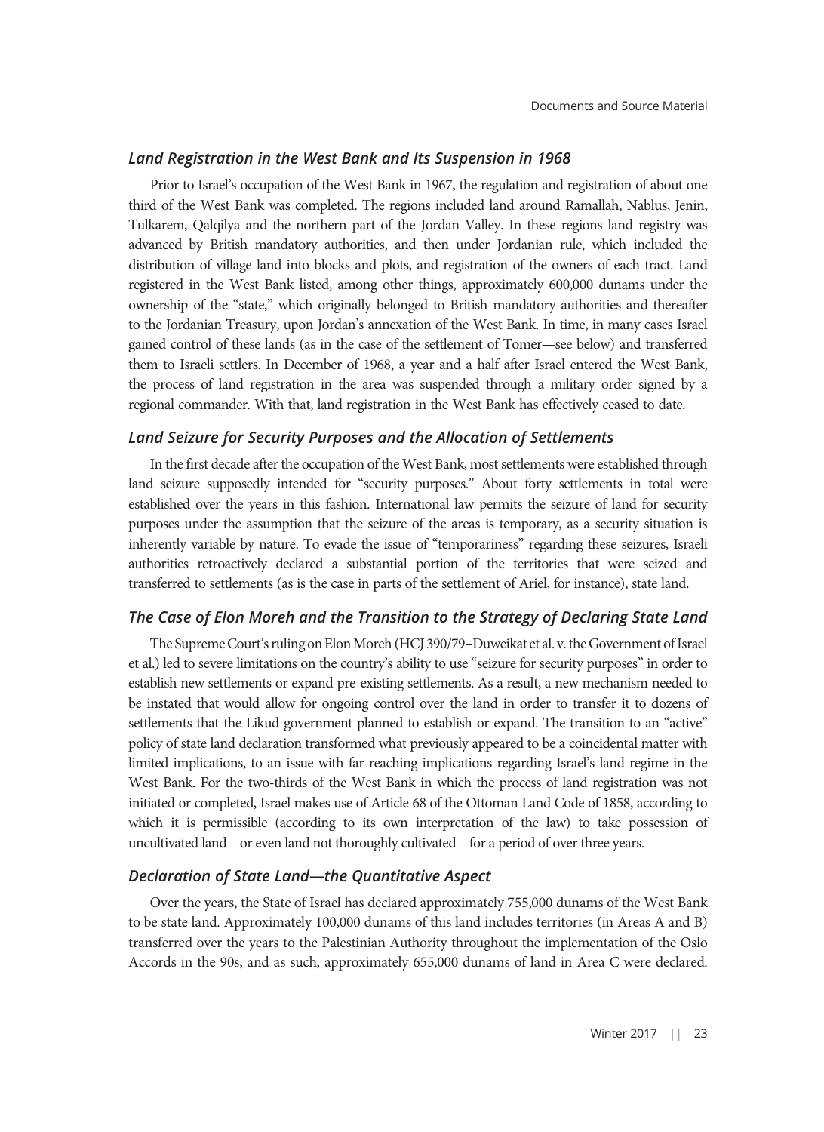#### Land Registration in the West Bank and Its Suspension in 1968

Prior to Israel's occupation of the West Bank in 1967, the regulation and registration of about one third of the West Bank was completed. The regions included land around Ramallah, Nablus, Jenin, Tulkarem, Qalqilya and the northern part of the Jordan Valley. In these regions land registry was advanced by British mandatory authorities, and then under Jordanian rule, which included the distribution of village land into blocks and plots, and registration of the owners of each tract. Land registered in the West Bank listed, among other things, approximately 600,000 dunams under the ownership of the "state," which originally belonged to British mandatory authorities and thereafter to the Jordanian Treasury, upon Jordan's annexation of the West Bank. In time, in many cases Israel gained control of these lands (as in the case of the settlement of Tomer—see below) and transferred them to Israeli settlers. In December of 1968, a year and a half after Israel entered the West Bank, the process of land registration in the area was suspended through a military order signed by a regional commander. With that, land registration in the West Bank has effectively ceased to date.

#### Land Seizure for Security Purposes and the Allocation of Settlements

In the first decade after the occupation of the West Bank, most settlements were established through land seizure supposedly intended for "security purposes." About forty settlements in total were established over the years in this fashion. International law permits the seizure of land for security purposes under the assumption that the seizure of the areas is temporary, as a security situation is inherently variable by nature. To evade the issue of "temporariness" regarding these seizures, Israeli authorities retroactively declared a substantial portion of the territories that were seized and transferred to settlements (as is the case in parts of the settlement of Ariel, for instance), state land.

## The Case of Elon Moreh and the Transition to the Strategy of Declaring State Land

The Supreme Court's ruling on Elon Moreh (HCJ 390/79–Duweikat et al. v. the Government of Israel et al.) led to severe limitations on the country's ability to use "seizure for security purposes" in order to establish new settlements or expand pre-existing settlements. As a result, a new mechanism needed to be instated that would allow for ongoing control over the land in order to transfer it to dozens of settlements that the Likud government planned to establish or expand. The transition to an "active" policy of state land declaration transformed what previously appeared to be a coincidental matter with limited implications, to an issue with far-reaching implications regarding Israel's land regime in the West Bank. For the two-thirds of the West Bank in which the process of land registration was not initiated or completed, Israel makes use of Article 68 of the Ottoman Land Code of 1858, according to which it is permissible (according to its own interpretation of the law) to take possession of uncultivated land—or even land not thoroughly cultivated—for a period of over three years.

#### Declaration of State Land—the Quantitative Aspect

Over the years, the State of Israel has declared approximately 755,000 dunams of the West Bank to be state land. Approximately 100,000 dunams of this land includes territories (in Areas A and B) transferred over the years to the Palestinian Authority throughout the implementation of the Oslo Accords in the 90s, and as such, approximately 655,000 dunams of land in Area C were declared.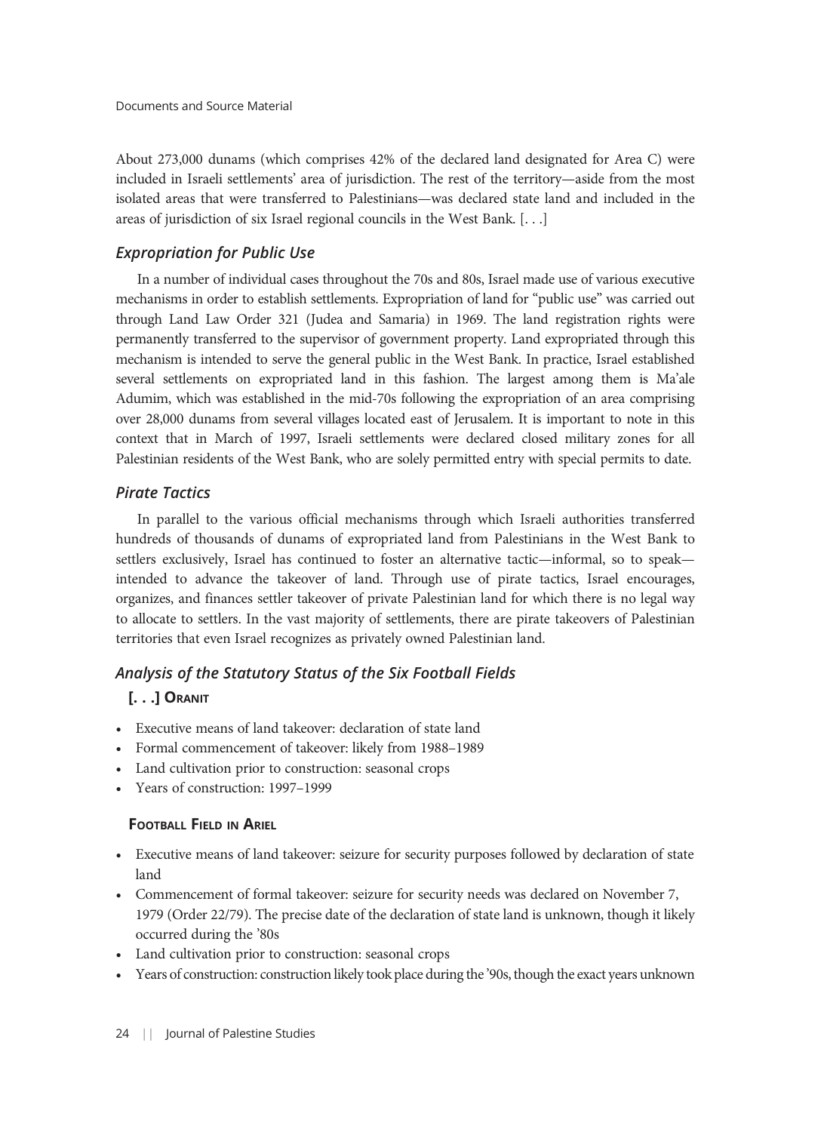About 273,000 dunams (which comprises 42% of the declared land designated for Area C) were included in Israeli settlements' area of jurisdiction. The rest of the territory—aside from the most isolated areas that were transferred to Palestinians—was declared state land and included in the areas of jurisdiction of six Israel regional councils in the West Bank. [. . .]

# Expropriation for Public Use

In a number of individual cases throughout the 70s and 80s, Israel made use of various executive mechanisms in order to establish settlements. Expropriation of land for "public use" was carried out through Land Law Order 321 (Judea and Samaria) in 1969. The land registration rights were permanently transferred to the supervisor of government property. Land expropriated through this mechanism is intended to serve the general public in the West Bank. In practice, Israel established several settlements on expropriated land in this fashion. The largest among them is Ma'ale Adumim, which was established in the mid-70s following the expropriation of an area comprising over 28,000 dunams from several villages located east of Jerusalem. It is important to note in this context that in March of 1997, Israeli settlements were declared closed military zones for all Palestinian residents of the West Bank, who are solely permitted entry with special permits to date.

# Pirate Tactics

In parallel to the various official mechanisms through which Israeli authorities transferred hundreds of thousands of dunams of expropriated land from Palestinians in the West Bank to settlers exclusively, Israel has continued to foster an alternative tactic—informal, so to speak intended to advance the takeover of land. Through use of pirate tactics, Israel encourages, organizes, and finances settler takeover of private Palestinian land for which there is no legal way to allocate to settlers. In the vast majority of settlements, there are pirate takeovers of Palestinian territories that even Israel recognizes as privately owned Palestinian land.

# Analysis of the Statutory Status of the Six Football Fields

# [. . .] ORANIT

- Executive means of land takeover: declaration of state land
- Formal commencement of takeover: likely from 1988–1989
- Land cultivation prior to construction: seasonal crops
- Years of construction: 1997–1999

# FOOTBALL FIELD IN ARIEL

- Executive means of land takeover: seizure for security purposes followed by declaration of state land
- Commencement of formal takeover: seizure for security needs was declared on November 7, 1979 (Order 22/79). The precise date of the declaration of state land is unknown, though it likely occurred during the '80s
- Land cultivation prior to construction: seasonal crops
- Years of construction: construction likely took place during the '90s, though the exact years unknown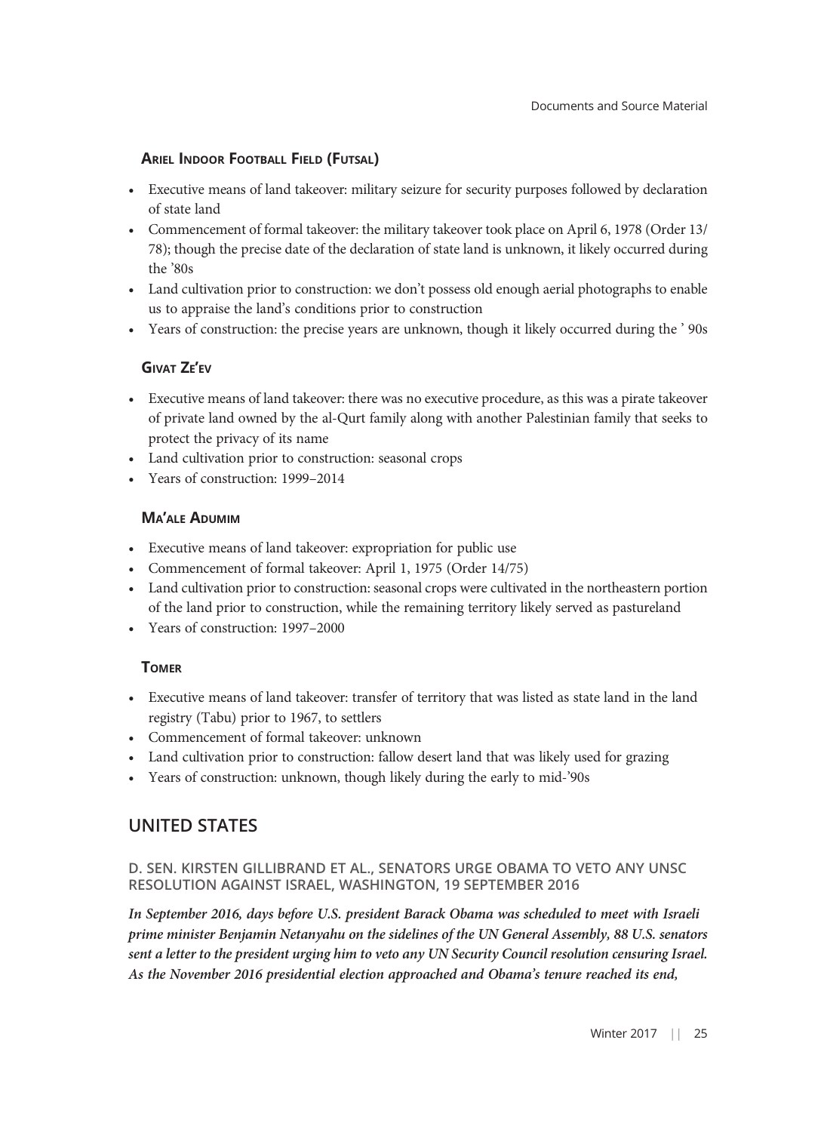# ARIEL INDOOR FOOTBALL FIELD (FUTSAL)

- Executive means of land takeover: military seizure for security purposes followed by declaration of state land
- Commencement of formal takeover: the military takeover took place on April 6, 1978 (Order 13/ 78); though the precise date of the declaration of state land is unknown, it likely occurred during the '80s
- Land cultivation prior to construction: we don't possess old enough aerial photographs to enable us to appraise the land's conditions prior to construction
- Years of construction: the precise years are unknown, though it likely occurred during the ' 90s

# GIVAT ZE'EV

- Executive means of land takeover: there was no executive procedure, as this was a pirate takeover of private land owned by the al-Qurt family along with another Palestinian family that seeks to protect the privacy of its name
- Land cultivation prior to construction: seasonal crops
- Years of construction: 1999–2014

# MA'ALE ADUMIM

- Executive means of land takeover: expropriation for public use
- Commencement of formal takeover: April 1, 1975 (Order 14/75)
- Land cultivation prior to construction: seasonal crops were cultivated in the northeastern portion of the land prior to construction, while the remaining territory likely served as pastureland
- Years of construction: 1997–2000

# **TOMER**

- Executive means of land takeover: transfer of territory that was listed as state land in the land registry (Tabu) prior to 1967, to settlers
- Commencement of formal takeover: unknown
- Land cultivation prior to construction: fallow desert land that was likely used for grazing
- Years of construction: unknown, though likely during the early to mid-'90s

# UNITED STATES

# D. SEN. KIRSTEN GILLIBRAND ET AL., SENATORS URGE OBAMA TO VETO ANY UNSC RESOLUTION AGAINST ISRAEL, WASHINGTON, 19 SEPTEMBER 2016

In September 2016, days before U.S. president Barack Obama was scheduled to meet with Israeli prime minister Benjamin Netanyahu on the sidelines of the UN General Assembly, 88 U.S. senators sent a letter to the president urging him to veto any UN Security Council resolution censuring Israel. As the November 2016 presidential election approached and Obama's tenure reached its end,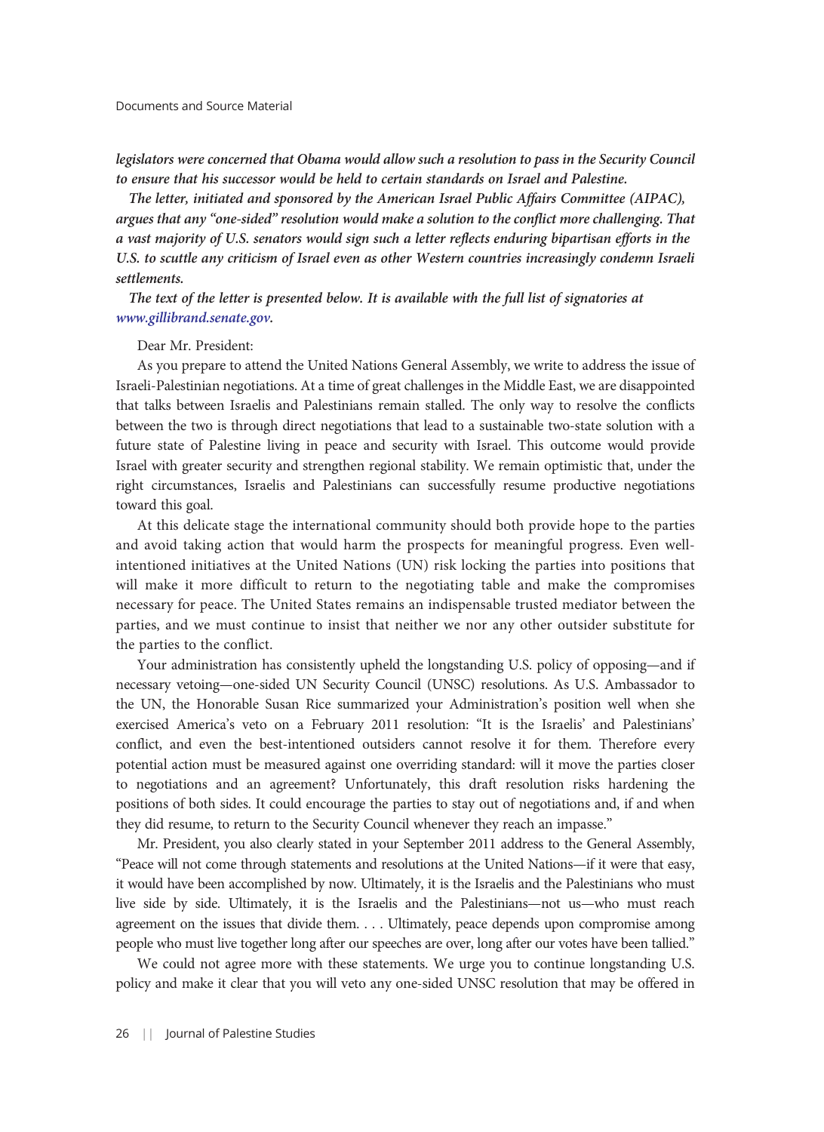legislators were concerned that Obama would allow such a resolution to pass in the Security Council to ensure that his successor would be held to certain standards on Israel and Palestine.

The letter, initiated and sponsored by the American Israel Public Affairs Committee (AIPAC), argues that any "one-sided" resolution would make a solution to the conflict more challenging. That a vast majority of U.S. senators would sign such a letter reflects enduring bipartisan efforts in the U.S. to scuttle any criticism of Israel even as other Western countries increasingly condemn Israeli settlements.

The text of the letter is presented below. It is available with the full list of signatories at [www.gillibrand.senate.gov.](https://www.gillibrand.senate.gov/newsroom/press/release/senators-gillibrand-and-rounds-lead-bipartisan-initiative-urging-president-obama-to-reject-and-if-needed-veto-any-one-sided-resolutions-at-the-united-nations)

#### Dear Mr. President:

As you prepare to attend the United Nations General Assembly, we write to address the issue of Israeli-Palestinian negotiations. At a time of great challenges in the Middle East, we are disappointed that talks between Israelis and Palestinians remain stalled. The only way to resolve the conflicts between the two is through direct negotiations that lead to a sustainable two-state solution with a future state of Palestine living in peace and security with Israel. This outcome would provide Israel with greater security and strengthen regional stability. We remain optimistic that, under the right circumstances, Israelis and Palestinians can successfully resume productive negotiations toward this goal.

At this delicate stage the international community should both provide hope to the parties and avoid taking action that would harm the prospects for meaningful progress. Even wellintentioned initiatives at the United Nations (UN) risk locking the parties into positions that will make it more difficult to return to the negotiating table and make the compromises necessary for peace. The United States remains an indispensable trusted mediator between the parties, and we must continue to insist that neither we nor any other outsider substitute for the parties to the conflict.

Your administration has consistently upheld the longstanding U.S. policy of opposing—and if necessary vetoing—one-sided UN Security Council (UNSC) resolutions. As U.S. Ambassador to the UN, the Honorable Susan Rice summarized your Administration's position well when she exercised America's veto on a February 2011 resolution: "It is the Israelis' and Palestinians' conflict, and even the best-intentioned outsiders cannot resolve it for them. Therefore every potential action must be measured against one overriding standard: will it move the parties closer to negotiations and an agreement? Unfortunately, this draft resolution risks hardening the positions of both sides. It could encourage the parties to stay out of negotiations and, if and when they did resume, to return to the Security Council whenever they reach an impasse."

Mr. President, you also clearly stated in your September 2011 address to the General Assembly, "Peace will not come through statements and resolutions at the United Nations—if it were that easy, it would have been accomplished by now. Ultimately, it is the Israelis and the Palestinians who must live side by side. Ultimately, it is the Israelis and the Palestinians—not us—who must reach agreement on the issues that divide them. . . . Ultimately, peace depends upon compromise among people who must live together long after our speeches are over, long after our votes have been tallied."

We could not agree more with these statements. We urge you to continue longstanding U.S. policy and make it clear that you will veto any one-sided UNSC resolution that may be offered in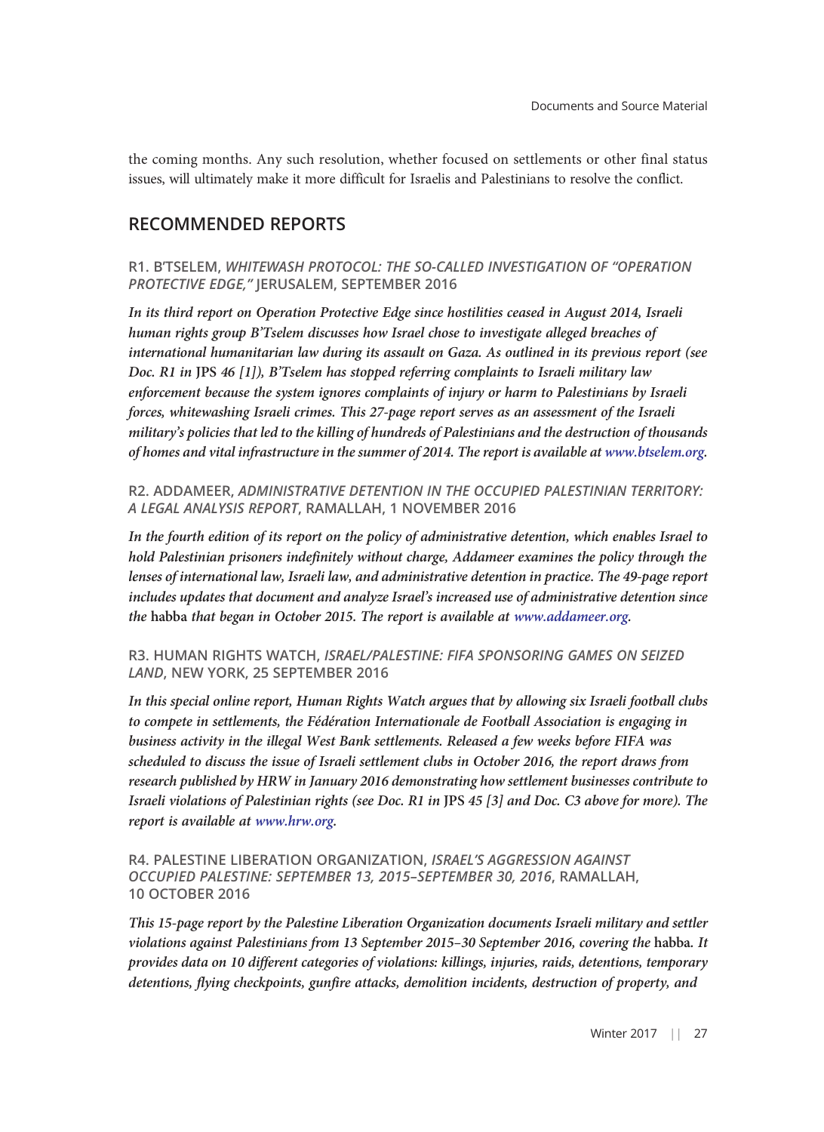the coming months. Any such resolution, whether focused on settlements or other final status issues, will ultimately make it more difficult for Israelis and Palestinians to resolve the conflict.

# RECOMMENDED REPORTS

R1. B'TSELEM, WHITEWASH PROTOCOL: THE SO-CALLED INVESTIGATION OF "OPERATION PROTECTIVE EDGE," JERUSALEM, SEPTEMBER 2016

In its third report on Operation Protective Edge since hostilities ceased in August 2014, Israeli human rights group B'Tselem discusses how Israel chose to investigate alleged breaches of international humanitarian law during its assault on Gaza. As outlined in its previous report (see Doc. R1 in JPS 46 [1]), B'Tselem has stopped referring complaints to Israeli military law enforcement because the system ignores complaints of injury or harm to Palestinians by Israeli forces, whitewashing Israeli crimes. This 27-page report serves as an assessment of the Israeli military's policies that led to the killing of hundreds of Palestinians and the destruction of thousands of homes and vital infrastructure in the summer of 2014. The report is available at [www.btselem.org.](http://www.btselem.org/download/201609_whitewash_protocol_eng.pdf)

R2. ADDAMEER, ADMINISTRATIVE DETENTION IN THE OCCUPIED PALESTINIAN TERRITORY: A LEGAL ANALYSIS REPORT, RAMALLAH, 1 NOVEMBER 2016

In the fourth edition of its report on the policy of administrative detention, which enables Israel to hold Palestinian prisoners indefinitely without charge, Addameer examines the policy through the lenses of international law, Israeli law, and administrative detention in practice. The 49-page report includes updates that document and analyze Israel's increased use of administrative detention since the habba that began in October 2015. The report is available at [www.addameer.org](http://www.addameer.org/sites/default/files/publications/administrative_detention_analysis_report_2016.pdf).

R3. HUMAN RIGHTS WATCH, ISRAEL/PALESTINE: FIFA SPONSORING GAMES ON SEIZED LAND, NEW YORK, 25 SEPTEMBER 2016

In this special online report, Human Rights Watch argues that by allowing six Israeli football clubs to compete in settlements, the Fédération Internationale de Football Association is engaging in business activity in the illegal West Bank settlements. Released a few weeks before FIFA was scheduled to discuss the issue of Israeli settlement clubs in October 2016, the report draws from research published by HRW in January 2016 demonstrating how settlement businesses contribute to Israeli violations of Palestinian rights (see Doc. R1 in JPS 45 [3] and Doc. C3 above for more). The report is available at [www.hrw.org](https://www.hrw.org/news/2016/09/25/israel/palestine-fifa-sponsoring-games-seized-land).

R4. PALESTINE LIBERATION ORGANIZATION, ISRAEL'S AGGRESSION AGAINST OCCUPIED PALESTINE: SEPTEMBER 13, 2015–SEPTEMBER 30, 2016, RAMALLAH, 10 OCTOBER 2016

This 15-page report by the Palestine Liberation Organization documents Israeli military and settler violations against Palestinians from 13 September 2015–30 September 2016, covering the habba. It provides data on 10 different categories of violations: killings, injuries, raids, detentions, temporary detentions, flying checkpoints, gunfire attacks, demolition incidents, destruction of property, and